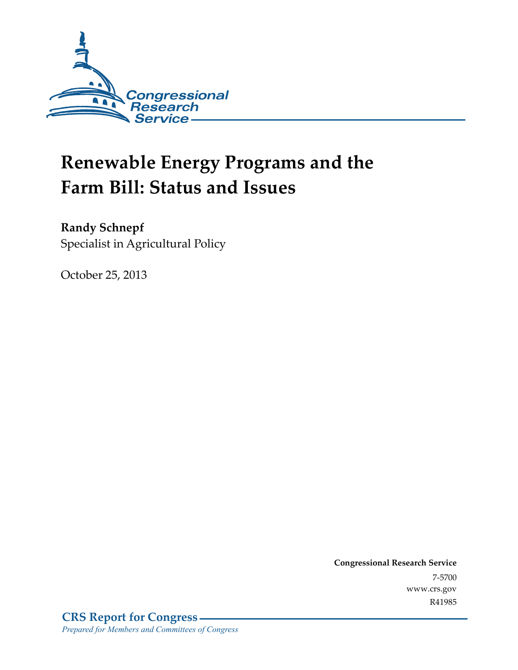

# **Renewable Energy Programs and the Farm Bill: Status and Issues**

**Randy Schnepf** 

Specialist in Agricultural Policy

October 25, 2013

**Congressional Research Service**  7-5700 www.crs.gov R41985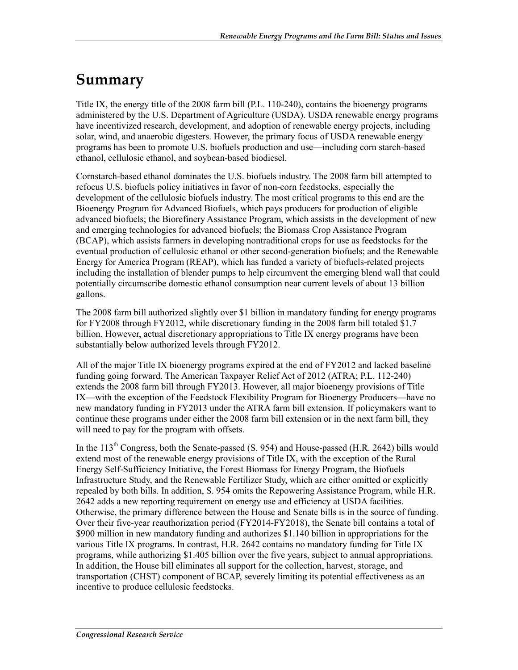# **Summary**

Title IX, the energy title of the 2008 farm bill (P.L. 110-240), contains the bioenergy programs administered by the U.S. Department of Agriculture (USDA). USDA renewable energy programs have incentivized research, development, and adoption of renewable energy projects, including solar, wind, and anaerobic digesters. However, the primary focus of USDA renewable energy programs has been to promote U.S. biofuels production and use—including corn starch-based ethanol, cellulosic ethanol, and soybean-based biodiesel.

Cornstarch-based ethanol dominates the U.S. biofuels industry. The 2008 farm bill attempted to refocus U.S. biofuels policy initiatives in favor of non-corn feedstocks, especially the development of the cellulosic biofuels industry. The most critical programs to this end are the Bioenergy Program for Advanced Biofuels, which pays producers for production of eligible advanced biofuels; the Biorefinery Assistance Program, which assists in the development of new and emerging technologies for advanced biofuels; the Biomass Crop Assistance Program (BCAP), which assists farmers in developing nontraditional crops for use as feedstocks for the eventual production of cellulosic ethanol or other second-generation biofuels; and the Renewable Energy for America Program (REAP), which has funded a variety of biofuels-related projects including the installation of blender pumps to help circumvent the emerging blend wall that could potentially circumscribe domestic ethanol consumption near current levels of about 13 billion gallons.

The 2008 farm bill authorized slightly over \$1 billion in mandatory funding for energy programs for FY2008 through FY2012, while discretionary funding in the 2008 farm bill totaled \$1.7 billion. However, actual discretionary appropriations to Title IX energy programs have been substantially below authorized levels through FY2012.

All of the major Title IX bioenergy programs expired at the end of FY2012 and lacked baseline funding going forward. The American Taxpayer Relief Act of 2012 (ATRA; P.L. 112-240) extends the 2008 farm bill through FY2013. However, all major bioenergy provisions of Title IX—with the exception of the Feedstock Flexibility Program for Bioenergy Producers—have no new mandatory funding in FY2013 under the ATRA farm bill extension. If policymakers want to continue these programs under either the 2008 farm bill extension or in the next farm bill, they will need to pay for the program with offsets.

In the  $113<sup>th</sup>$  Congress, both the Senate-passed (S. 954) and House-passed (H.R. 2642) bills would extend most of the renewable energy provisions of Title IX, with the exception of the Rural Energy Self-Sufficiency Initiative, the Forest Biomass for Energy Program, the Biofuels Infrastructure Study, and the Renewable Fertilizer Study, which are either omitted or explicitly repealed by both bills. In addition, S. 954 omits the Repowering Assistance Program, while H.R. 2642 adds a new reporting requirement on energy use and efficiency at USDA facilities. Otherwise, the primary difference between the House and Senate bills is in the source of funding. Over their five-year reauthorization period (FY2014-FY2018), the Senate bill contains a total of \$900 million in new mandatory funding and authorizes \$1.140 billion in appropriations for the various Title IX programs. In contrast, H.R. 2642 contains no mandatory funding for Title IX programs, while authorizing \$1.405 billion over the five years, subject to annual appropriations. In addition, the House bill eliminates all support for the collection, harvest, storage, and transportation (CHST) component of BCAP, severely limiting its potential effectiveness as an incentive to produce cellulosic feedstocks.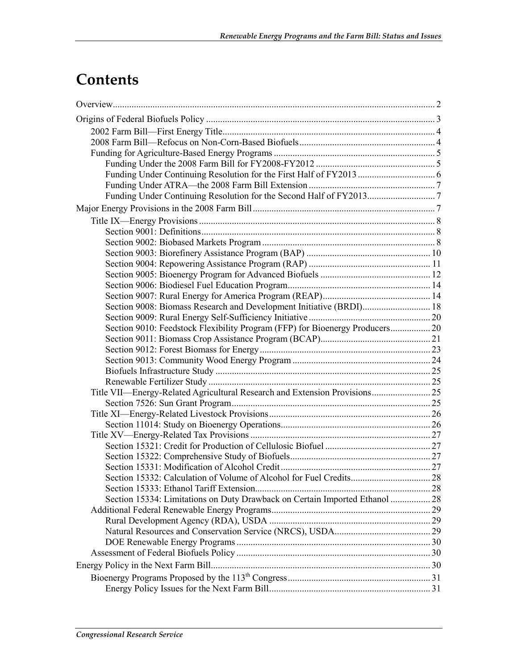# **Contents**

| Section 9010: Feedstock Flexibility Program (FFP) for Bioenergy Producers 20 |  |
|------------------------------------------------------------------------------|--|
|                                                                              |  |
|                                                                              |  |
|                                                                              |  |
|                                                                              |  |
|                                                                              |  |
| Title VII—Energy-Related Agricultural Research and Extension Provisions 25   |  |
|                                                                              |  |
|                                                                              |  |
|                                                                              |  |
|                                                                              |  |
|                                                                              |  |
|                                                                              |  |
|                                                                              |  |
|                                                                              |  |
|                                                                              |  |
| Section 15334: Limitations on Duty Drawback on Certain Imported Ethanol  28  |  |
|                                                                              |  |
|                                                                              |  |
|                                                                              |  |
|                                                                              |  |
|                                                                              |  |
|                                                                              |  |
|                                                                              |  |
|                                                                              |  |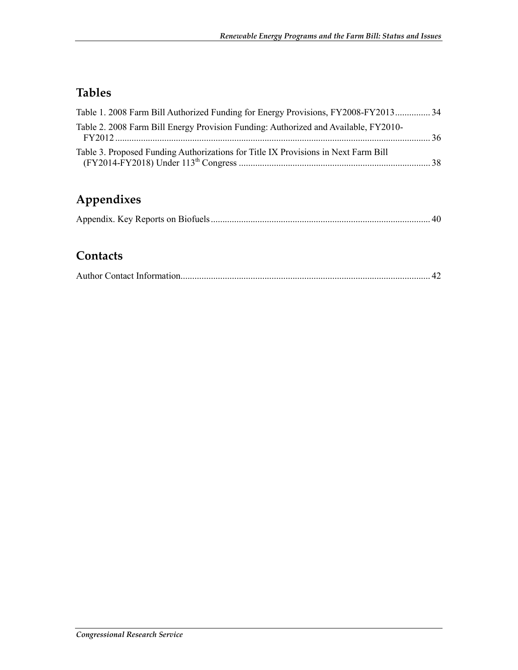# **Tables**

| Table 1. 2008 Farm Bill Authorized Funding for Energy Provisions, FY2008-FY2013 34  |  |
|-------------------------------------------------------------------------------------|--|
| Table 2. 2008 Farm Bill Energy Provision Funding: Authorized and Available, FY2010- |  |
|                                                                                     |  |

# **Appendixes**

|--|--|--|--|

# **Contacts**

|--|--|--|--|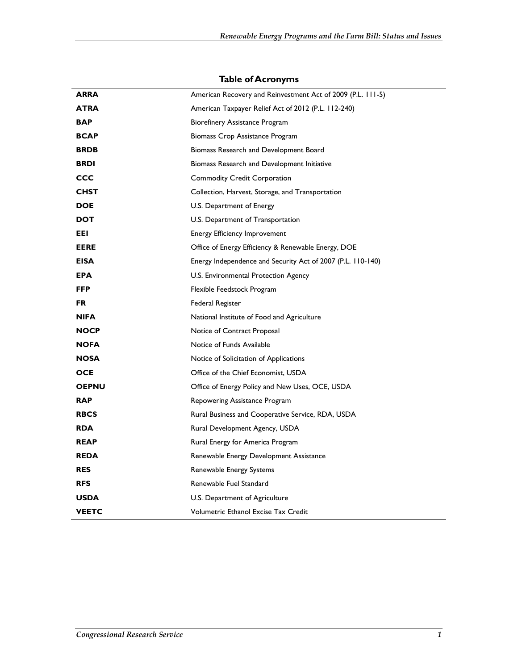| <b>ARRA</b>  | American Recovery and Reinvestment Act of 2009 (P.L. 111-5) |
|--------------|-------------------------------------------------------------|
| <b>ATRA</b>  | American Taxpayer Relief Act of 2012 (P.L. 112-240)         |
| <b>BAP</b>   | Biorefinery Assistance Program                              |
| <b>BCAP</b>  | Biomass Crop Assistance Program                             |
| <b>BRDB</b>  | Biomass Research and Development Board                      |
| <b>BRDI</b>  | Biomass Research and Development Initiative                 |
| CCC          | <b>Commodity Credit Corporation</b>                         |
| <b>CHST</b>  | Collection, Harvest, Storage, and Transportation            |
| <b>DOE</b>   | U.S. Department of Energy                                   |
| <b>DOT</b>   | U.S. Department of Transportation                           |
| EEL          | <b>Energy Efficiency Improvement</b>                        |
| <b>EERE</b>  | Office of Energy Efficiency & Renewable Energy, DOE         |
| <b>EISA</b>  | Energy Independence and Security Act of 2007 (P.L. 110-140) |
| <b>EPA</b>   | U.S. Environmental Protection Agency                        |
| <b>FFP</b>   | Flexible Feedstock Program                                  |
| <b>FR</b>    | Federal Register                                            |
| <b>NIFA</b>  | National Institute of Food and Agriculture                  |
| <b>NOCP</b>  | Notice of Contract Proposal                                 |
| <b>NOFA</b>  | Notice of Funds Available                                   |
| <b>NOSA</b>  | Notice of Solicitation of Applications                      |
| <b>OCE</b>   | Office of the Chief Economist, USDA                         |
| <b>OEPNU</b> | Office of Energy Policy and New Uses, OCE, USDA             |
| <b>RAP</b>   | Repowering Assistance Program                               |
| <b>RBCS</b>  | Rural Business and Cooperative Service, RDA, USDA           |
| <b>RDA</b>   | Rural Development Agency, USDA                              |
| <b>REAP</b>  | Rural Energy for America Program                            |
| <b>REDA</b>  | Renewable Energy Development Assistance                     |
| <b>RES</b>   | Renewable Energy Systems                                    |
| <b>RFS</b>   | Renewable Fuel Standard                                     |
| <b>USDA</b>  | U.S. Department of Agriculture                              |
| <b>VEETC</b> | Volumetric Ethanol Excise Tax Credit                        |

#### **Table of Acronyms**

l,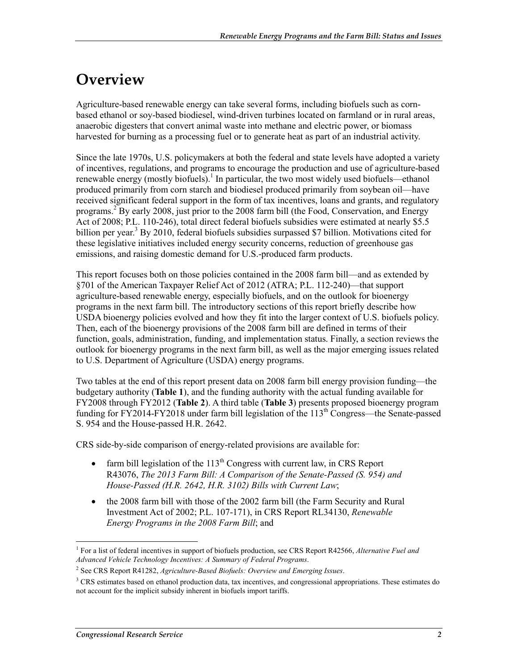# **Overview**

Agriculture-based renewable energy can take several forms, including biofuels such as cornbased ethanol or soy-based biodiesel, wind-driven turbines located on farmland or in rural areas, anaerobic digesters that convert animal waste into methane and electric power, or biomass harvested for burning as a processing fuel or to generate heat as part of an industrial activity.

Since the late 1970s, U.S. policymakers at both the federal and state levels have adopted a variety of incentives, regulations, and programs to encourage the production and use of agriculture-based renewable energy (mostly biofuels).<sup>1</sup> In particular, the two most widely used biofuels—ethanol produced primarily from corn starch and biodiesel produced primarily from soybean oil—have received significant federal support in the form of tax incentives, loans and grants, and regulatory programs.<sup>2</sup> By early 2008, just prior to the 2008 farm bill (the Food, Conservation, and Energy Act of 2008; P.L. 110-246), total direct federal biofuels subsidies were estimated at nearly \$5.5 billion per year.<sup>3</sup> By 2010, federal biofuels subsidies surpassed \$7 billion. Motivations cited for these legislative initiatives included energy security concerns, reduction of greenhouse gas emissions, and raising domestic demand for U.S.-produced farm products.

This report focuses both on those policies contained in the 2008 farm bill—and as extended by §701 of the American Taxpayer Relief Act of 2012 (ATRA; P.L. 112-240)—that support agriculture-based renewable energy, especially biofuels, and on the outlook for bioenergy programs in the next farm bill. The introductory sections of this report briefly describe how USDA bioenergy policies evolved and how they fit into the larger context of U.S. biofuels policy. Then, each of the bioenergy provisions of the 2008 farm bill are defined in terms of their function, goals, administration, funding, and implementation status. Finally, a section reviews the outlook for bioenergy programs in the next farm bill, as well as the major emerging issues related to U.S. Department of Agriculture (USDA) energy programs.

Two tables at the end of this report present data on 2008 farm bill energy provision funding—the budgetary authority (**Table 1**), and the funding authority with the actual funding available for FY2008 through FY2012 (**Table 2**). A third table (**Table 3**) presents proposed bioenergy program funding for FY2014-FY2018 under farm bill legislation of the  $113<sup>th</sup>$  Congress—the Senate-passed S. 954 and the House-passed H.R. 2642.

CRS side-by-side comparison of energy-related provisions are available for:

- farm bill legislation of the  $113<sup>th</sup>$  Congress with current law, in CRS Report R43076, *The 2013 Farm Bill: A Comparison of the Senate-Passed (S. 954) and House-Passed (H.R. 2642, H.R. 3102) Bills with Current Law*;
- the 2008 farm bill with those of the 2002 farm bill (the Farm Security and Rural Investment Act of 2002; P.L. 107-171), in CRS Report RL34130, *Renewable Energy Programs in the 2008 Farm Bill*; and

<sup>1</sup> <sup>1</sup> For a list of federal incentives in support of biofuels production, see CRS Report R42566, Alternative Fuel and *Advanced Vehicle Technology Incentives: A Summary of Federal Programs*.

<sup>2</sup> See CRS Report R41282, *Agriculture-Based Biofuels: Overview and Emerging Issues*.

<sup>&</sup>lt;sup>3</sup> CRS estimates based on ethanol production data, tax incentives, and congressional appropriations. These estimates do not account for the implicit subsidy inherent in biofuels import tariffs.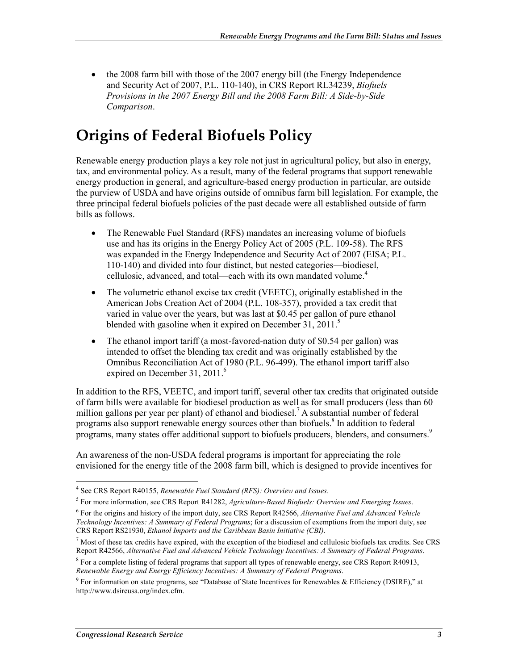• the 2008 farm bill with those of the 2007 energy bill (the Energy Independence and Security Act of 2007, P.L. 110-140), in CRS Report RL34239, *Biofuels Provisions in the 2007 Energy Bill and the 2008 Farm Bill: A Side-by-Side Comparison*.

# **Origins of Federal Biofuels Policy**

Renewable energy production plays a key role not just in agricultural policy, but also in energy, tax, and environmental policy. As a result, many of the federal programs that support renewable energy production in general, and agriculture-based energy production in particular, are outside the purview of USDA and have origins outside of omnibus farm bill legislation. For example, the three principal federal biofuels policies of the past decade were all established outside of farm bills as follows.

- The Renewable Fuel Standard (RFS) mandates an increasing volume of biofuels use and has its origins in the Energy Policy Act of 2005 (P.L. 109-58). The RFS was expanded in the Energy Independence and Security Act of 2007 (EISA; P.L. 110-140) and divided into four distinct, but nested categories—biodiesel, cellulosic, advanced, and total—each with its own mandated volume.<sup>4</sup>
- The volumetric ethanol excise tax credit (VEETC), originally established in the American Jobs Creation Act of 2004 (P.L. 108-357), provided a tax credit that varied in value over the years, but was last at \$0.45 per gallon of pure ethanol blended with gasoline when it expired on December 31, 2011.<sup>5</sup>
- The ethanol import tariff (a most-favored-nation duty of \$0.54 per gallon) was intended to offset the blending tax credit and was originally established by the Omnibus Reconciliation Act of 1980 (P.L. 96-499). The ethanol import tariff also expired on December 31, 2011.<sup>6</sup>

In addition to the RFS, VEETC, and import tariff, several other tax credits that originated outside of farm bills were available for biodiesel production as well as for small producers (less than 60 million gallons per year per plant) of ethanol and biodiesel.<sup>7</sup> A substantial number of federal programs also support renewable energy sources other than biofuels.<sup>8</sup> In addition to federal programs, many states offer additional support to biofuels producers, blenders, and consumers.<sup>9</sup>

An awareness of the non-USDA federal programs is important for appreciating the role envisioned for the energy title of the 2008 farm bill, which is designed to provide incentives for

<sup>&</sup>lt;u>.</u> 4 See CRS Report R40155, *Renewable Fuel Standard (RFS): Overview and Issues*.

<sup>5</sup> For more information, see CRS Report R41282, *Agriculture-Based Biofuels: Overview and Emerging Issues*.

<sup>6</sup> For the origins and history of the import duty, see CRS Report R42566, *Alternative Fuel and Advanced Vehicle Technology Incentives: A Summary of Federal Programs*; for a discussion of exemptions from the import duty, see CRS Report RS21930, *Ethanol Imports and the Caribbean Basin Initiative (CBI)*.

 $<sup>7</sup>$  Most of these tax credits have expired, with the exception of the biodiesel and cellulosic biofuels tax credits. See CRS</sup> Report R42566, *Alternative Fuel and Advanced Vehicle Technology Incentives: A Summary of Federal Programs*.

<sup>&</sup>lt;sup>8</sup> For a complete listing of federal programs that support all types of renewable energy, see CRS Report R40913, *Renewable Energy and Energy Efficiency Incentives: A Summary of Federal Programs*.

<sup>&</sup>lt;sup>9</sup> For information on state programs, see "Database of State Incentives for Renewables & Efficiency (DSIRE)," at http://www.dsireusa.org/index.cfm.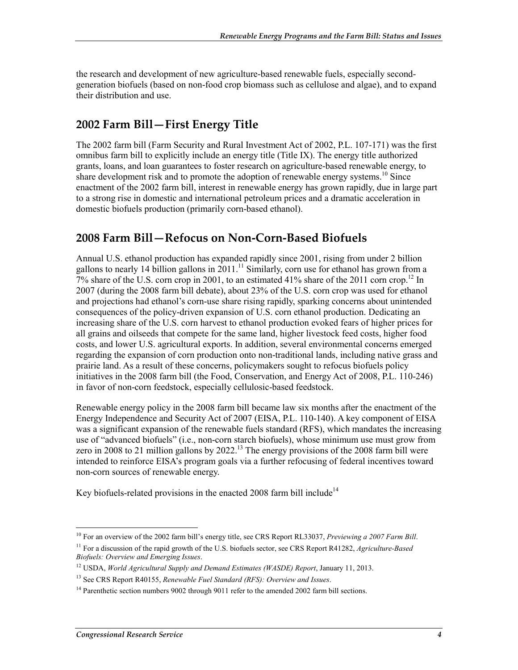the research and development of new agriculture-based renewable fuels, especially secondgeneration biofuels (based on non-food crop biomass such as cellulose and algae), and to expand their distribution and use.

## **2002 Farm Bill—First Energy Title**

The 2002 farm bill (Farm Security and Rural Investment Act of 2002, P.L. 107-171) was the first omnibus farm bill to explicitly include an energy title (Title IX). The energy title authorized grants, loans, and loan guarantees to foster research on agriculture-based renewable energy, to share development risk and to promote the adoption of renewable energy systems.<sup>10</sup> Since enactment of the 2002 farm bill, interest in renewable energy has grown rapidly, due in large part to a strong rise in domestic and international petroleum prices and a dramatic acceleration in domestic biofuels production (primarily corn-based ethanol).

## **2008 Farm Bill—Refocus on Non-Corn-Based Biofuels**

Annual U.S. ethanol production has expanded rapidly since 2001, rising from under 2 billion gallons to nearly 14 billion gallons in  $2011$ .<sup>11</sup> Similarly, corn use for ethanol has grown from a 7% share of the U.S. corn crop in 2001, to an estimated 41% share of the 2011 corn crop.12 In 2007 (during the 2008 farm bill debate), about 23% of the U.S. corn crop was used for ethanol and projections had ethanol's corn-use share rising rapidly, sparking concerns about unintended consequences of the policy-driven expansion of U.S. corn ethanol production. Dedicating an increasing share of the U.S. corn harvest to ethanol production evoked fears of higher prices for all grains and oilseeds that compete for the same land, higher livestock feed costs, higher food costs, and lower U.S. agricultural exports. In addition, several environmental concerns emerged regarding the expansion of corn production onto non-traditional lands, including native grass and prairie land. As a result of these concerns, policymakers sought to refocus biofuels policy initiatives in the 2008 farm bill (the Food, Conservation, and Energy Act of 2008, P.L. 110-246) in favor of non-corn feedstock, especially cellulosic-based feedstock.

Renewable energy policy in the 2008 farm bill became law six months after the enactment of the Energy Independence and Security Act of 2007 (EISA, P.L. 110-140). A key component of EISA was a significant expansion of the renewable fuels standard (RFS), which mandates the increasing use of "advanced biofuels" (i.e., non-corn starch biofuels), whose minimum use must grow from zero in 2008 to 21 million gallons by 2022.<sup>13</sup> The energy provisions of the 2008 farm bill were intended to reinforce EISA's program goals via a further refocusing of federal incentives toward non-corn sources of renewable energy.

Key biofuels-related provisions in the enacted 2008 farm bill include<sup>14</sup>

<sup>1</sup> 10 For an overview of the 2002 farm bill's energy title, see CRS Report RL33037, *Previewing a 2007 Farm Bill*.

<sup>11</sup> For a discussion of the rapid growth of the U.S. biofuels sector, see CRS Report R41282, *Agriculture-Based Biofuels: Overview and Emerging Issues*.

<sup>12</sup> USDA, *World Agricultural Supply and Demand Estimates (WASDE) Report*, January 11, 2013.

<sup>13</sup> See CRS Report R40155, *Renewable Fuel Standard (RFS): Overview and Issues*.

<sup>&</sup>lt;sup>14</sup> Parenthetic section numbers 9002 through 9011 refer to the amended 2002 farm bill sections.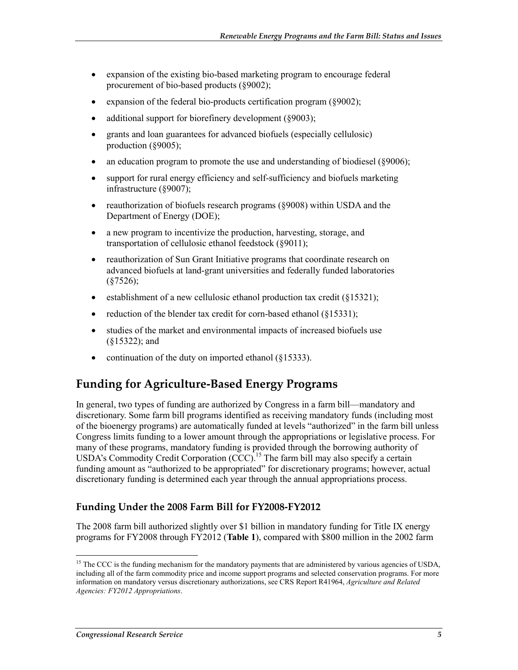- expansion of the existing bio-based marketing program to encourage federal procurement of bio-based products (§9002);
- expansion of the federal bio-products certification program (§9002);
- additional support for biorefinery development (§9003);
- grants and loan guarantees for advanced biofuels (especially cellulosic) production (§9005);
- an education program to promote the use and understanding of biodiesel (§9006);
- support for rural energy efficiency and self-sufficiency and biofuels marketing infrastructure (§9007);
- reauthorization of biofuels research programs (§9008) within USDA and the Department of Energy (DOE);
- a new program to incentivize the production, harvesting, storage, and transportation of cellulosic ethanol feedstock (§9011);
- reauthorization of Sun Grant Initiative programs that coordinate research on advanced biofuels at land-grant universities and federally funded laboratories  $(S7526)$ ;
- establishment of a new cellulosic ethanol production tax credit (§15321);
- reduction of the blender tax credit for corn-based ethanol (§15331);
- studies of the market and environmental impacts of increased biofuels use (§15322); and
- continuation of the duty on imported ethanol (§15333).

## **Funding for Agriculture-Based Energy Programs**

In general, two types of funding are authorized by Congress in a farm bill—mandatory and discretionary. Some farm bill programs identified as receiving mandatory funds (including most of the bioenergy programs) are automatically funded at levels "authorized" in the farm bill unless Congress limits funding to a lower amount through the appropriations or legislative process. For many of these programs, mandatory funding is provided through the borrowing authority of USDA's Commodity Credit Corporation  $(CCC)$ <sup>15</sup>. The farm bill may also specify a certain funding amount as "authorized to be appropriated" for discretionary programs; however, actual discretionary funding is determined each year through the annual appropriations process.

## **Funding Under the 2008 Farm Bill for FY2008-FY2012**

The 2008 farm bill authorized slightly over \$1 billion in mandatory funding for Title IX energy programs for FY2008 through FY2012 (**Table 1**), compared with \$800 million in the 2002 farm

<sup>&</sup>lt;sup>15</sup> The CCC is the funding mechanism for the mandatory payments that are administered by various agencies of USDA, including all of the farm commodity price and income support programs and selected conservation programs. For more information on mandatory versus discretionary authorizations, see CRS Report R41964, *Agriculture and Related Agencies: FY2012 Appropriations*.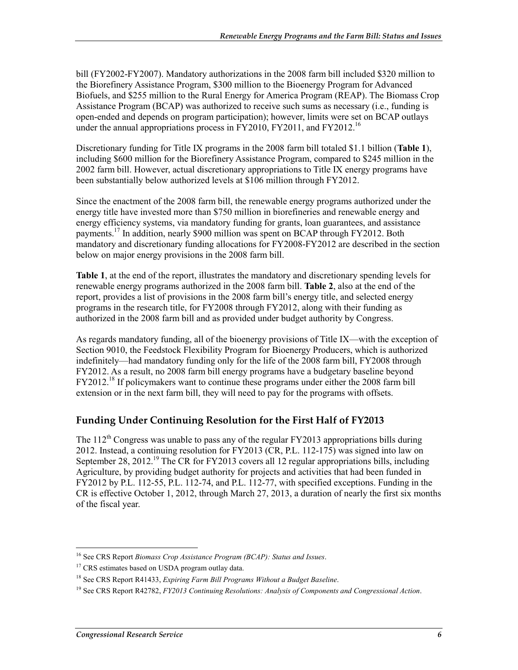bill (FY2002-FY2007). Mandatory authorizations in the 2008 farm bill included \$320 million to the Biorefinery Assistance Program, \$300 million to the Bioenergy Program for Advanced Biofuels, and \$255 million to the Rural Energy for America Program (REAP). The Biomass Crop Assistance Program (BCAP) was authorized to receive such sums as necessary (i.e., funding is open-ended and depends on program participation); however, limits were set on BCAP outlays under the annual appropriations process in FY2010, FY2011, and FY2012.<sup>16</sup>

Discretionary funding for Title IX programs in the 2008 farm bill totaled \$1.1 billion (**Table 1**), including \$600 million for the Biorefinery Assistance Program, compared to \$245 million in the 2002 farm bill. However, actual discretionary appropriations to Title IX energy programs have been substantially below authorized levels at \$106 million through FY2012.

Since the enactment of the 2008 farm bill, the renewable energy programs authorized under the energy title have invested more than \$750 million in biorefineries and renewable energy and energy efficiency systems, via mandatory funding for grants, loan guarantees, and assistance payments.<sup>17</sup> In addition, nearly \$900 million was spent on BCAP through FY2012. Both mandatory and discretionary funding allocations for FY2008-FY2012 are described in the section below on major energy provisions in the 2008 farm bill.

**Table 1**, at the end of the report, illustrates the mandatory and discretionary spending levels for renewable energy programs authorized in the 2008 farm bill. **Table 2**, also at the end of the report, provides a list of provisions in the 2008 farm bill's energy title, and selected energy programs in the research title, for FY2008 through FY2012, along with their funding as authorized in the 2008 farm bill and as provided under budget authority by Congress.

As regards mandatory funding, all of the bioenergy provisions of Title IX—with the exception of Section 9010, the Feedstock Flexibility Program for Bioenergy Producers, which is authorized indefinitely—had mandatory funding only for the life of the 2008 farm bill, FY2008 through FY2012. As a result, no 2008 farm bill energy programs have a budgetary baseline beyond FY2012.<sup>18</sup> If policymakers want to continue these programs under either the 2008 farm bill extension or in the next farm bill, they will need to pay for the programs with offsets.

## **Funding Under Continuing Resolution for the First Half of FY2013**

The  $112^{th}$  Congress was unable to pass any of the regular FY2013 appropriations bills during 2012. Instead, a continuing resolution for FY2013 (CR, P.L. 112-175) was signed into law on September 28, 2012.<sup>19</sup> The CR for FY2013 covers all 12 regular appropriations bills, including Agriculture, by providing budget authority for projects and activities that had been funded in FY2012 by P.L. 112-55, P.L. 112-74, and P.L. 112-77, with specified exceptions. Funding in the CR is effective October 1, 2012, through March 27, 2013, a duration of nearly the first six months of the fiscal year.

<sup>1</sup> 16 See CRS Report *Biomass Crop Assistance Program (BCAP): Status and Issues*.

<sup>&</sup>lt;sup>17</sup> CRS estimates based on USDA program outlay data.

<sup>18</sup> See CRS Report R41433, *Expiring Farm Bill Programs Without a Budget Baseline*.

<sup>19</sup> See CRS Report R42782, *FY2013 Continuing Resolutions: Analysis of Components and Congressional Action*.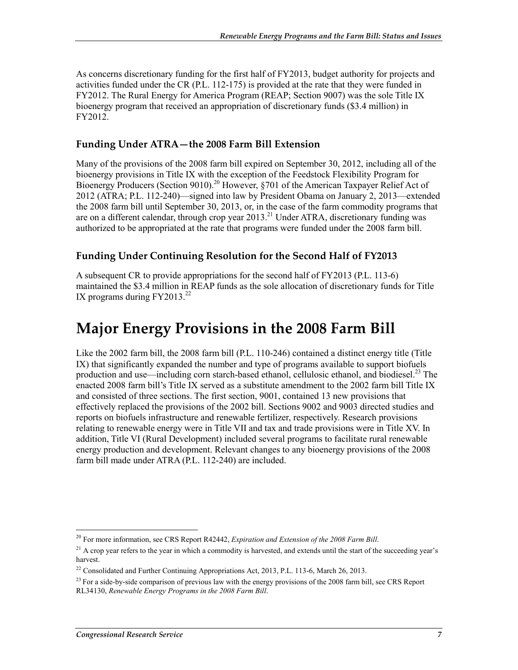As concerns discretionary funding for the first half of FY2013, budget authority for projects and activities funded under the CR (P.L. 112-175) is provided at the rate that they were funded in FY2012. The Rural Energy for America Program (REAP; Section 9007) was the sole Title IX bioenergy program that received an appropriation of discretionary funds (\$3.4 million) in FY2012.

## **Funding Under ATRA—the 2008 Farm Bill Extension**

Many of the provisions of the 2008 farm bill expired on September 30, 2012, including all of the bioenergy provisions in Title IX with the exception of the Feedstock Flexibility Program for Bioenergy Producers (Section 9010).<sup>20</sup> However, §701 of the American Taxpayer Relief Act of 2012 (ATRA; P.L. 112-240)—signed into law by President Obama on January 2, 2013—extended the 2008 farm bill until September 30, 2013, or, in the case of the farm commodity programs that are on a different calendar, through crop year 2013.<sup>21</sup> Under ATRA, discretionary funding was authorized to be appropriated at the rate that programs were funded under the 2008 farm bill.

## **Funding Under Continuing Resolution for the Second Half of FY2013**

A subsequent CR to provide appropriations for the second half of FY2013 (P.L. 113-6) maintained the \$3.4 million in REAP funds as the sole allocation of discretionary funds for Title IX programs during  $FY2013.<sup>22</sup>$ 

# **Major Energy Provisions in the 2008 Farm Bill**

Like the 2002 farm bill, the 2008 farm bill (P.L. 110-246) contained a distinct energy title (Title IX) that significantly expanded the number and type of programs available to support biofuels production and use—including corn starch-based ethanol, cellulosic ethanol, and biodiesel.<sup>23</sup> The enacted 2008 farm bill's Title IX served as a substitute amendment to the 2002 farm bill Title IX and consisted of three sections. The first section, 9001, contained 13 new provisions that effectively replaced the provisions of the 2002 bill. Sections 9002 and 9003 directed studies and reports on biofuels infrastructure and renewable fertilizer, respectively. Research provisions relating to renewable energy were in Title VII and tax and trade provisions were in Title XV. In addition, Title VI (Rural Development) included several programs to facilitate rural renewable energy production and development. Relevant changes to any bioenergy provisions of the 2008 farm bill made under ATRA (P.L. 112-240) are included.

<sup>1</sup> 20 For more information, see CRS Report R42442, *Expiration and Extension of the 2008 Farm Bill*.

 $^{21}$  A crop year refers to the year in which a commodity is harvested, and extends until the start of the succeeding year's harvest.

<sup>&</sup>lt;sup>22</sup> Consolidated and Further Continuing Appropriations Act, 2013, P.L. 113-6, March 26, 2013.

<sup>&</sup>lt;sup>23</sup> For a side-by-side comparison of previous law with the energy provisions of the 2008 farm bill, see CRS Report RL34130, *Renewable Energy Programs in the 2008 Farm Bill*.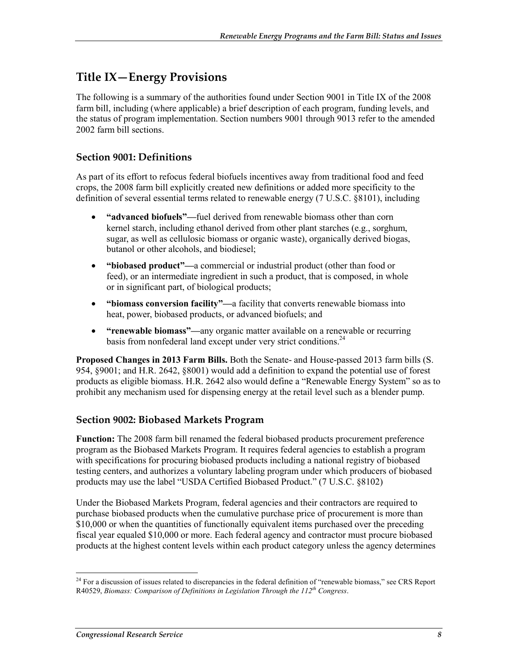## **Title IX—Energy Provisions**

The following is a summary of the authorities found under Section 9001 in Title IX of the 2008 farm bill, including (where applicable) a brief description of each program, funding levels, and the status of program implementation. Section numbers 9001 through 9013 refer to the amended 2002 farm bill sections.

## **Section 9001: Definitions**

As part of its effort to refocus federal biofuels incentives away from traditional food and feed crops, the 2008 farm bill explicitly created new definitions or added more specificity to the definition of several essential terms related to renewable energy (7 U.S.C. §8101), including

- **"advanced biofuels"—**fuel derived from renewable biomass other than corn kernel starch, including ethanol derived from other plant starches (e.g., sorghum, sugar, as well as cellulosic biomass or organic waste), organically derived biogas, butanol or other alcohols, and biodiesel;
- **"biobased product"—**a commercial or industrial product (other than food or feed), or an intermediate ingredient in such a product, that is composed, in whole or in significant part, of biological products;
- **"biomass conversion facility"—**a facility that converts renewable biomass into heat, power, biobased products, or advanced biofuels; and
- **"renewable biomass"—**any organic matter available on a renewable or recurring basis from nonfederal land except under very strict conditions.<sup>24</sup>

**Proposed Changes in 2013 Farm Bills.** Both the Senate- and House-passed 2013 farm bills (S. 954, §9001; and H.R. 2642, §8001) would add a definition to expand the potential use of forest products as eligible biomass. H.R. 2642 also would define a "Renewable Energy System" so as to prohibit any mechanism used for dispensing energy at the retail level such as a blender pump.

#### **Section 9002: Biobased Markets Program**

**Function:** The 2008 farm bill renamed the federal biobased products procurement preference program as the Biobased Markets Program. It requires federal agencies to establish a program with specifications for procuring biobased products including a national registry of biobased testing centers, and authorizes a voluntary labeling program under which producers of biobased products may use the label "USDA Certified Biobased Product." (7 U.S.C. §8102)

Under the Biobased Markets Program, federal agencies and their contractors are required to purchase biobased products when the cumulative purchase price of procurement is more than \$10,000 or when the quantities of functionally equivalent items purchased over the preceding fiscal year equaled \$10,000 or more. Each federal agency and contractor must procure biobased products at the highest content levels within each product category unless the agency determines

<sup>1</sup> <sup>24</sup> For a discussion of issues related to discrepancies in the federal definition of "renewable biomass," see CRS Report R40529, *Biomass: Comparison of Definitions in Legislation Through the 112th Congress*.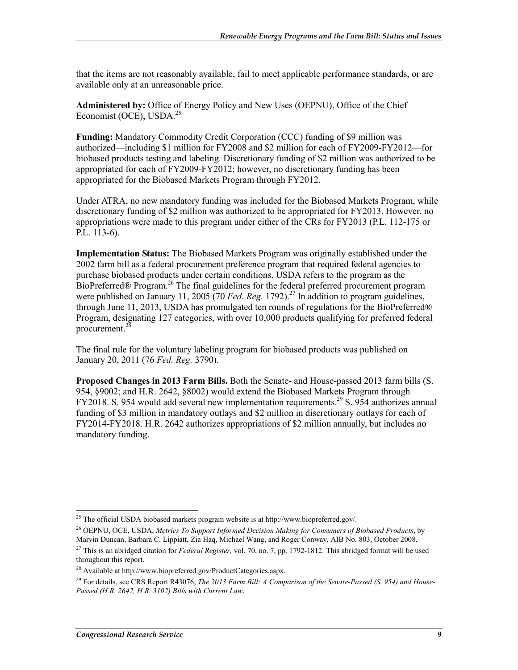that the items are not reasonably available, fail to meet applicable performance standards, or are available only at an unreasonable price.

**Administered by:** Office of Energy Policy and New Uses (OEPNU), Office of the Chief Economist (OCE), USDA.<sup>25</sup>

**Funding:** Mandatory Commodity Credit Corporation (CCC) funding of \$9 million was authorized—including \$1 million for FY2008 and \$2 million for each of FY2009-FY2012—for biobased products testing and labeling. Discretionary funding of \$2 million was authorized to be appropriated for each of FY2009-FY2012; however, no discretionary funding has been appropriated for the Biobased Markets Program through FY2012.

Under ATRA, no new mandatory funding was included for the Biobased Markets Program, while discretionary funding of \$2 million was authorized to be appropriated for FY2013. However, no appropriations were made to this program under either of the CRs for FY2013 (P.L. 112-175 or P.L. 113-6).

**Implementation Status:** The Biobased Markets Program was originally established under the 2002 farm bill as a federal procurement preference program that required federal agencies to purchase biobased products under certain conditions. USDA refers to the program as the BioPreferred® Program.<sup>26</sup> The final guidelines for the federal preferred procurement program were published on January 11, 2005 (70 *Fed. Reg.* 1792).<sup>27</sup> In addition to program guidelines, through June 11, 2013, USDA has promulgated ten rounds of regulations for the BioPreferred® Program, designating 127 categories, with over 10,000 products qualifying for preferred federal procurement.28

The final rule for the voluntary labeling program for biobased products was published on January 20, 2011 (76 *Fed. Reg.* 3790).

**Proposed Changes in 2013 Farm Bills.** Both the Senate- and House-passed 2013 farm bills (S. 954, §9002; and H.R. 2642, §8002) would extend the Biobased Markets Program through FY2018. S. 954 would add several new implementation requirements.<sup>29</sup> S. 954 authorizes annual funding of \$3 million in mandatory outlays and \$2 million in discretionary outlays for each of FY2014-FY2018. H.R. 2642 authorizes appropriations of \$2 million annually, but includes no mandatory funding.

 $^{25}$  The official USDA biobased markets program website is at http://www.biopreferred.gov/.

<sup>26</sup> OEPNU, OCE, USDA, *Metrics To Support Informed Decision Making for Consumers of Biobased Products*, by Marvin Duncan, Barbara C. Lippiatt, Zia Haq, Michael Wang, and Roger Conway, AIB No. 803, October 2008.

<sup>27</sup> This is an abridged citation for *Federal Register,* vol. 70, no. 7, pp. 1792-1812. This abridged format will be used throughout this report.

<sup>28</sup> Available at http://www.biopreferred.gov/ProductCategories.aspx.

<sup>29</sup> For details, see CRS Report R43076, *The 2013 Farm Bill: A Comparison of the Senate-Passed (S. 954) and House-Passed (H.R. 2642, H.R. 3102) Bills with Current Law*.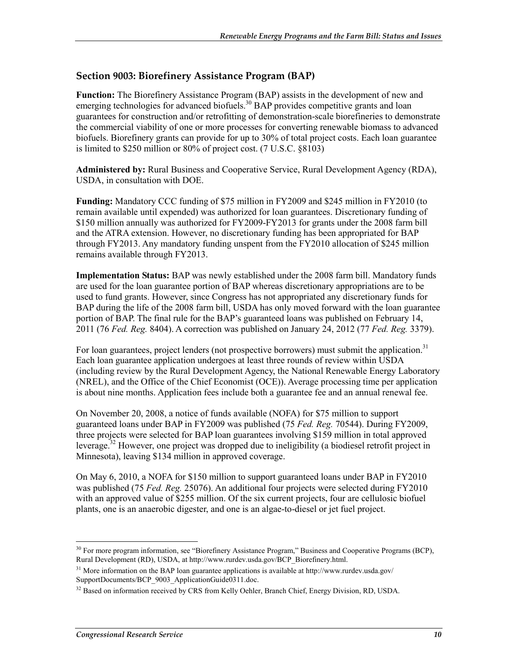### **Section 9003: Biorefinery Assistance Program (BAP)**

**Function:** The Biorefinery Assistance Program (BAP) assists in the development of new and emerging technologies for advanced biofuels.<sup>30</sup> BAP provides competitive grants and loan guarantees for construction and/or retrofitting of demonstration-scale biorefineries to demonstrate the commercial viability of one or more processes for converting renewable biomass to advanced biofuels. Biorefinery grants can provide for up to 30% of total project costs. Each loan guarantee is limited to \$250 million or 80% of project cost. (7 U.S.C. §8103)

**Administered by:** Rural Business and Cooperative Service, Rural Development Agency (RDA), USDA, in consultation with DOE.

**Funding:** Mandatory CCC funding of \$75 million in FY2009 and \$245 million in FY2010 (to remain available until expended) was authorized for loan guarantees. Discretionary funding of \$150 million annually was authorized for FY2009-FY2013 for grants under the 2008 farm bill and the ATRA extension. However, no discretionary funding has been appropriated for BAP through FY2013. Any mandatory funding unspent from the FY2010 allocation of \$245 million remains available through FY2013.

**Implementation Status:** BAP was newly established under the 2008 farm bill. Mandatory funds are used for the loan guarantee portion of BAP whereas discretionary appropriations are to be used to fund grants. However, since Congress has not appropriated any discretionary funds for BAP during the life of the 2008 farm bill, USDA has only moved forward with the loan guarantee portion of BAP. The final rule for the BAP's guaranteed loans was published on February 14, 2011 (76 *Fed. Reg.* 8404). A correction was published on January 24, 2012 (77 *Fed. Reg.* 3379).

For loan guarantees, project lenders (not prospective borrowers) must submit the application.<sup>31</sup> Each loan guarantee application undergoes at least three rounds of review within USDA (including review by the Rural Development Agency, the National Renewable Energy Laboratory (NREL), and the Office of the Chief Economist (OCE)). Average processing time per application is about nine months. Application fees include both a guarantee fee and an annual renewal fee.

On November 20, 2008, a notice of funds available (NOFA) for \$75 million to support guaranteed loans under BAP in FY2009 was published (75 *Fed. Reg.* 70544). During FY2009, three projects were selected for BAP loan guarantees involving \$159 million in total approved leverage.<sup>32</sup> However, one project was dropped due to ineligibility (a biodiesel retrofit project in Minnesota), leaving \$134 million in approved coverage.

On May 6, 2010, a NOFA for \$150 million to support guaranteed loans under BAP in FY2010 was published (75 *Fed. Reg.* 25076). An additional four projects were selected during FY2010 with an approved value of \$255 million. Of the six current projects, four are cellulosic biofuel plants, one is an anaerobic digester, and one is an algae-to-diesel or jet fuel project.

<sup>&</sup>lt;sup>30</sup> For more program information, see "Biorefinery Assistance Program," Business and Cooperative Programs (BCP), Rural Development (RD), USDA, at http://www.rurdev.usda.gov/BCP\_Biorefinery.html.

<sup>&</sup>lt;sup>31</sup> More information on the BAP loan guarantee applications is available at http://www.rurdev.usda.gov/ SupportDocuments/BCP\_9003\_ApplicationGuide0311.doc.

<sup>&</sup>lt;sup>32</sup> Based on information received by CRS from Kelly Oehler, Branch Chief, Energy Division, RD, USDA.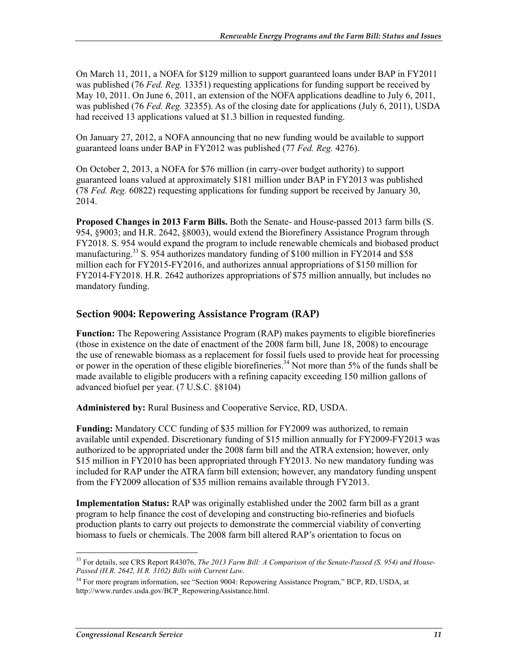On March 11, 2011, a NOFA for \$129 million to support guaranteed loans under BAP in FY2011 was published (76 *Fed. Reg.* 13351) requesting applications for funding support be received by May 10, 2011. On June 6, 2011, an extension of the NOFA applications deadline to July 6, 2011, was published (76 *Fed. Reg.* 32355). As of the closing date for applications (July 6, 2011), USDA had received 13 applications valued at \$1.3 billion in requested funding.

On January 27, 2012, a NOFA announcing that no new funding would be available to support guaranteed loans under BAP in FY2012 was published (77 *Fed. Reg.* 4276).

On October 2, 2013, a NOFA for \$76 million (in carry-over budget authority) to support guaranteed loans valued at approximately \$181 million under BAP in FY2013 was published (78 *Fed. Reg.* 60822) requesting applications for funding support be received by January 30, 2014.

**Proposed Changes in 2013 Farm Bills.** Both the Senate- and House-passed 2013 farm bills (S. 954, §9003; and H.R. 2642, §8003), would extend the Biorefinery Assistance Program through FY2018. S. 954 would expand the program to include renewable chemicals and biobased product manufacturing.<sup>33</sup> S. 954 authorizes mandatory funding of \$100 million in FY2014 and \$58 million each for FY2015-FY2016, and authorizes annual appropriations of \$150 million for FY2014-FY2018. H.R. 2642 authorizes appropriations of \$75 million annually, but includes no mandatory funding.

## **Section 9004: Repowering Assistance Program (RAP)**

**Function:** The Repowering Assistance Program (RAP) makes payments to eligible biorefineries (those in existence on the date of enactment of the 2008 farm bill, June 18, 2008) to encourage the use of renewable biomass as a replacement for fossil fuels used to provide heat for processing or power in the operation of these eligible biorefineries.<sup>34</sup> Not more than 5% of the funds shall be made available to eligible producers with a refining capacity exceeding 150 million gallons of advanced biofuel per year. (7 U.S.C. §8104)

**Administered by:** Rural Business and Cooperative Service, RD, USDA.

**Funding:** Mandatory CCC funding of \$35 million for FY2009 was authorized, to remain available until expended. Discretionary funding of \$15 million annually for FY2009-FY2013 was authorized to be appropriated under the 2008 farm bill and the ATRA extension; however, only \$15 million in FY2010 has been appropriated through FY2013. No new mandatory funding was included for RAP under the ATRA farm bill extension; however, any mandatory funding unspent from the FY2009 allocation of \$35 million remains available through FY2013.

**Implementation Status:** RAP was originally established under the 2002 farm bill as a grant program to help finance the cost of developing and constructing bio-refineries and biofuels production plants to carry out projects to demonstrate the commercial viability of converting biomass to fuels or chemicals. The 2008 farm bill altered RAP's orientation to focus on

<sup>1</sup> 33 For details, see CRS Report R43076, *The 2013 Farm Bill: A Comparison of the Senate-Passed (S. 954) and House-Passed (H.R. 2642, H.R. 3102) Bills with Current Law*.

<sup>&</sup>lt;sup>34</sup> For more program information, see "Section 9004: Repowering Assistance Program," BCP, RD, USDA, at http://www.rurdev.usda.gov/BCP\_RepoweringAssistance.html.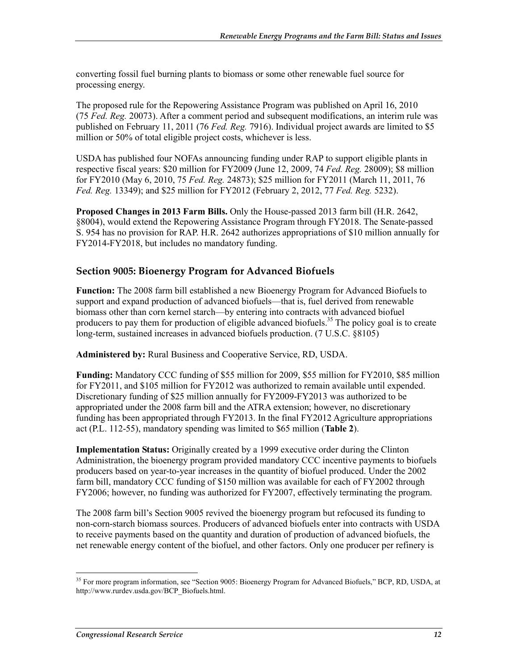converting fossil fuel burning plants to biomass or some other renewable fuel source for processing energy.

The proposed rule for the Repowering Assistance Program was published on April 16, 2010 (75 *Fed. Reg.* 20073). After a comment period and subsequent modifications, an interim rule was published on February 11, 2011 (76 *Fed. Reg.* 7916). Individual project awards are limited to \$5 million or 50% of total eligible project costs, whichever is less.

USDA has published four NOFAs announcing funding under RAP to support eligible plants in respective fiscal years: \$20 million for FY2009 (June 12, 2009, 74 *Fed. Reg.* 28009); \$8 million for FY2010 (May 6, 2010, 75 *Fed. Reg.* 24873); \$25 million for FY2011 (March 11, 2011, 76 *Fed. Reg.* 13349); and \$25 million for FY2012 (February 2, 2012, 77 *Fed. Reg.* 5232).

**Proposed Changes in 2013 Farm Bills.** Only the House-passed 2013 farm bill (H.R. 2642, §8004), would extend the Repowering Assistance Program through FY2018. The Senate-passed S. 954 has no provision for RAP. H.R. 2642 authorizes appropriations of \$10 million annually for FY2014-FY2018, but includes no mandatory funding.

#### **Section 9005: Bioenergy Program for Advanced Biofuels**

**Function:** The 2008 farm bill established a new Bioenergy Program for Advanced Biofuels to support and expand production of advanced biofuels—that is, fuel derived from renewable biomass other than corn kernel starch—by entering into contracts with advanced biofuel producers to pay them for production of eligible advanced biofuels.<sup>35</sup> The policy goal is to create long-term, sustained increases in advanced biofuels production. (7 U.S.C. §8105)

**Administered by:** Rural Business and Cooperative Service, RD, USDA.

**Funding:** Mandatory CCC funding of \$55 million for 2009, \$55 million for FY2010, \$85 million for FY2011, and \$105 million for FY2012 was authorized to remain available until expended. Discretionary funding of \$25 million annually for FY2009-FY2013 was authorized to be appropriated under the 2008 farm bill and the ATRA extension; however, no discretionary funding has been appropriated through FY2013. In the final FY2012 Agriculture appropriations act (P.L. 112-55), mandatory spending was limited to \$65 million (**Table 2**).

**Implementation Status:** Originally created by a 1999 executive order during the Clinton Administration, the bioenergy program provided mandatory CCC incentive payments to biofuels producers based on year-to-year increases in the quantity of biofuel produced. Under the 2002 farm bill, mandatory CCC funding of \$150 million was available for each of FY2002 through FY2006; however, no funding was authorized for FY2007, effectively terminating the program.

The 2008 farm bill's Section 9005 revived the bioenergy program but refocused its funding to non-corn-starch biomass sources. Producers of advanced biofuels enter into contracts with USDA to receive payments based on the quantity and duration of production of advanced biofuels, the net renewable energy content of the biofuel, and other factors. Only one producer per refinery is

<sup>1</sup> <sup>35</sup> For more program information, see "Section 9005: Bioenergy Program for Advanced Biofuels," BCP, RD, USDA, at http://www.rurdev.usda.gov/BCP\_Biofuels.html.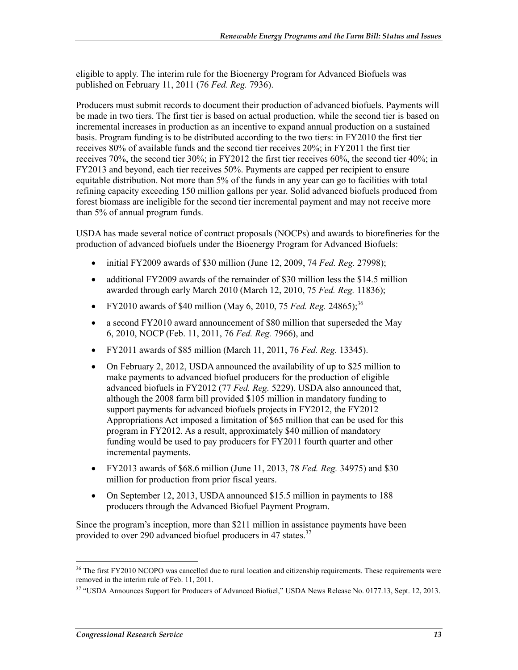eligible to apply. The interim rule for the Bioenergy Program for Advanced Biofuels was published on February 11, 2011 (76 *Fed. Reg.* 7936).

Producers must submit records to document their production of advanced biofuels. Payments will be made in two tiers. The first tier is based on actual production, while the second tier is based on incremental increases in production as an incentive to expand annual production on a sustained basis. Program funding is to be distributed according to the two tiers: in FY2010 the first tier receives 80% of available funds and the second tier receives 20%; in FY2011 the first tier receives 70%, the second tier 30%; in FY2012 the first tier receives 60%, the second tier 40%; in FY2013 and beyond, each tier receives 50%. Payments are capped per recipient to ensure equitable distribution. Not more than 5% of the funds in any year can go to facilities with total refining capacity exceeding 150 million gallons per year. Solid advanced biofuels produced from forest biomass are ineligible for the second tier incremental payment and may not receive more than 5% of annual program funds.

USDA has made several notice of contract proposals (NOCPs) and awards to biorefineries for the production of advanced biofuels under the Bioenergy Program for Advanced Biofuels:

- initial FY2009 awards of \$30 million (June 12, 2009, 74 *Fed. Reg.* 27998);
- additional FY2009 awards of the remainder of \$30 million less the \$14.5 million awarded through early March 2010 (March 12, 2010, 75 *Fed. Reg.* 11836);
- FY2010 awards of \$40 million (May 6, 2010, 75 *Fed. Reg.* 24865);<sup>36</sup>
- a second FY2010 award announcement of \$80 million that superseded the May 6, 2010, NOCP (Feb. 11, 2011, 76 *Fed. Reg.* 7966), and
- FY2011 awards of \$85 million (March 11, 2011, 76 *Fed. Reg.* 13345).
- On February 2, 2012, USDA announced the availability of up to \$25 million to make payments to advanced biofuel producers for the production of eligible advanced biofuels in FY2012 (77 *Fed. Reg.* 5229). USDA also announced that, although the 2008 farm bill provided \$105 million in mandatory funding to support payments for advanced biofuels projects in FY2012, the FY2012 Appropriations Act imposed a limitation of \$65 million that can be used for this program in FY2012. As a result, approximately \$40 million of mandatory funding would be used to pay producers for FY2011 fourth quarter and other incremental payments.
- FY2013 awards of \$68.6 million (June 11, 2013, 78 *Fed. Reg.* 34975) and \$30 million for production from prior fiscal years.
- On September 12, 2013, USDA announced \$15.5 million in payments to 188 producers through the Advanced Biofuel Payment Program.

Since the program's inception, more than \$211 million in assistance payments have been provided to over 290 advanced biofuel producers in 47 states.<sup>37</sup>

<sup>&</sup>lt;sup>36</sup> The first FY2010 NCOPO was cancelled due to rural location and citizenship requirements. These requirements were removed in the interim rule of Feb. 11, 2011.

<sup>&</sup>lt;sup>37</sup> "USDA Announces Support for Producers of Advanced Biofuel," USDA News Release No. 0177.13, Sept. 12, 2013.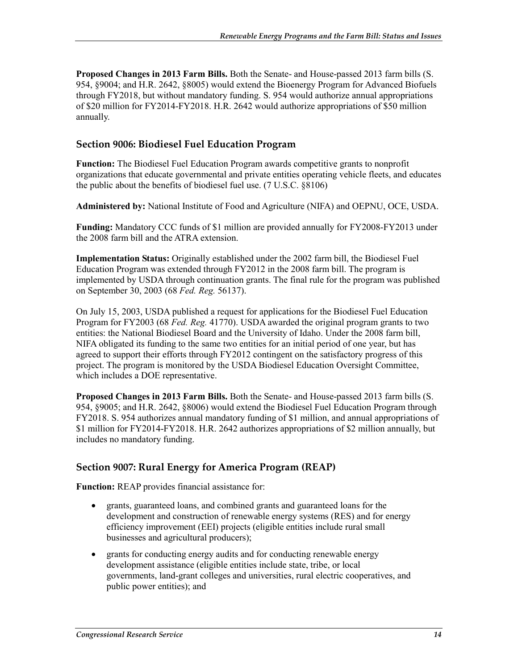**Proposed Changes in 2013 Farm Bills.** Both the Senate- and House-passed 2013 farm bills (S. 954, §9004; and H.R. 2642, §8005) would extend the Bioenergy Program for Advanced Biofuels through FY2018, but without mandatory funding. S. 954 would authorize annual appropriations of \$20 million for FY2014-FY2018. H.R. 2642 would authorize appropriations of \$50 million annually.

## **Section 9006: Biodiesel Fuel Education Program**

**Function:** The Biodiesel Fuel Education Program awards competitive grants to nonprofit organizations that educate governmental and private entities operating vehicle fleets, and educates the public about the benefits of biodiesel fuel use. (7 U.S.C. §8106)

**Administered by:** National Institute of Food and Agriculture (NIFA) and OEPNU, OCE, USDA.

**Funding:** Mandatory CCC funds of \$1 million are provided annually for FY2008-FY2013 under the 2008 farm bill and the ATRA extension.

**Implementation Status:** Originally established under the 2002 farm bill, the Biodiesel Fuel Education Program was extended through FY2012 in the 2008 farm bill. The program is implemented by USDA through continuation grants. The final rule for the program was published on September 30, 2003 (68 *Fed. Reg.* 56137).

On July 15, 2003, USDA published a request for applications for the Biodiesel Fuel Education Program for FY2003 (68 *Fed. Reg.* 41770). USDA awarded the original program grants to two entities: the National Biodiesel Board and the University of Idaho. Under the 2008 farm bill, NIFA obligated its funding to the same two entities for an initial period of one year, but has agreed to support their efforts through FY2012 contingent on the satisfactory progress of this project. The program is monitored by the USDA Biodiesel Education Oversight Committee, which includes a DOE representative.

**Proposed Changes in 2013 Farm Bills.** Both the Senate- and House-passed 2013 farm bills (S. 954, §9005; and H.R. 2642, §8006) would extend the Biodiesel Fuel Education Program through FY2018. S. 954 authorizes annual mandatory funding of \$1 million, and annual appropriations of \$1 million for FY2014-FY2018. H.R. 2642 authorizes appropriations of \$2 million annually, but includes no mandatory funding.

## **Section 9007: Rural Energy for America Program (REAP)**

**Function:** REAP provides financial assistance for:

- grants, guaranteed loans, and combined grants and guaranteed loans for the development and construction of renewable energy systems (RES) and for energy efficiency improvement (EEI) projects (eligible entities include rural small businesses and agricultural producers);
- grants for conducting energy audits and for conducting renewable energy development assistance (eligible entities include state, tribe, or local governments, land-grant colleges and universities, rural electric cooperatives, and public power entities); and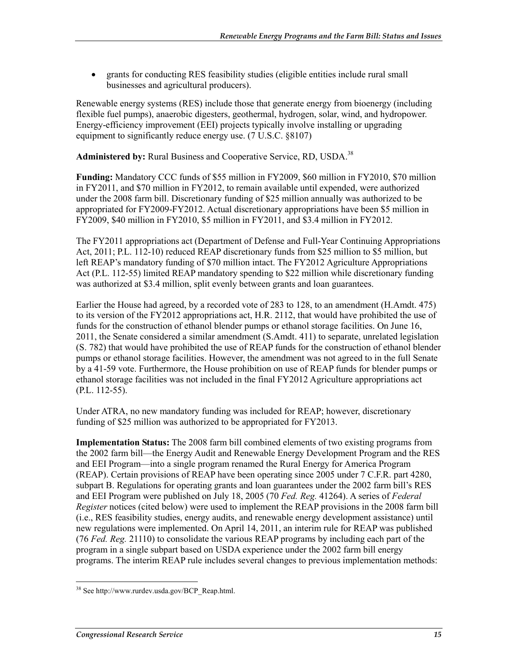• grants for conducting RES feasibility studies (eligible entities include rural small businesses and agricultural producers).

Renewable energy systems (RES) include those that generate energy from bioenergy (including flexible fuel pumps), anaerobic digesters, geothermal, hydrogen, solar, wind, and hydropower. Energy-efficiency improvement (EEI) projects typically involve installing or upgrading equipment to significantly reduce energy use. (7 U.S.C. §8107)

Administered by: Rural Business and Cooperative Service, RD, USDA.<sup>38</sup>

**Funding:** Mandatory CCC funds of \$55 million in FY2009, \$60 million in FY2010, \$70 million in FY2011, and \$70 million in FY2012, to remain available until expended, were authorized under the 2008 farm bill. Discretionary funding of \$25 million annually was authorized to be appropriated for FY2009-FY2012. Actual discretionary appropriations have been \$5 million in FY2009, \$40 million in FY2010, \$5 million in FY2011, and \$3.4 million in FY2012.

The FY2011 appropriations act (Department of Defense and Full-Year Continuing Appropriations Act, 2011; P.L. 112-10) reduced REAP discretionary funds from \$25 million to \$5 million, but left REAP's mandatory funding of \$70 million intact. The FY2012 Agriculture Appropriations Act (P.L. 112-55) limited REAP mandatory spending to \$22 million while discretionary funding was authorized at \$3.4 million, split evenly between grants and loan guarantees.

Earlier the House had agreed, by a recorded vote of 283 to 128, to an amendment (H.Amdt. 475) to its version of the FY2012 appropriations act, H.R. 2112, that would have prohibited the use of funds for the construction of ethanol blender pumps or ethanol storage facilities. On June 16, 2011, the Senate considered a similar amendment (S.Amdt. 411) to separate, unrelated legislation (S. 782) that would have prohibited the use of REAP funds for the construction of ethanol blender pumps or ethanol storage facilities. However, the amendment was not agreed to in the full Senate by a 41-59 vote. Furthermore, the House prohibition on use of REAP funds for blender pumps or ethanol storage facilities was not included in the final FY2012 Agriculture appropriations act (P.L. 112-55).

Under ATRA, no new mandatory funding was included for REAP; however, discretionary funding of \$25 million was authorized to be appropriated for FY2013.

**Implementation Status:** The 2008 farm bill combined elements of two existing programs from the 2002 farm bill—the Energy Audit and Renewable Energy Development Program and the RES and EEI Program—into a single program renamed the Rural Energy for America Program (REAP). Certain provisions of REAP have been operating since 2005 under 7 C.F.R. part 4280, subpart B. Regulations for operating grants and loan guarantees under the 2002 farm bill's RES and EEI Program were published on July 18, 2005 (70 *Fed. Reg.* 41264). A series of *Federal Register* notices (cited below) were used to implement the REAP provisions in the 2008 farm bill (i.e., RES feasibility studies, energy audits, and renewable energy development assistance) until new regulations were implemented. On April 14, 2011, an interim rule for REAP was published (76 *Fed. Reg.* 21110) to consolidate the various REAP programs by including each part of the program in a single subpart based on USDA experience under the 2002 farm bill energy programs. The interim REAP rule includes several changes to previous implementation methods:

<sup>&</sup>lt;u>.</u> <sup>38</sup> See http://www.rurdev.usda.gov/BCP\_Reap.html.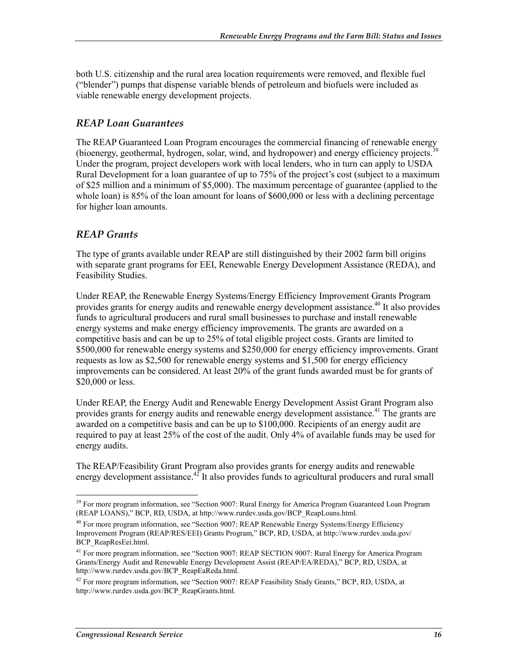both U.S. citizenship and the rural area location requirements were removed, and flexible fuel ("blender") pumps that dispense variable blends of petroleum and biofuels were included as viable renewable energy development projects.

## *REAP Loan Guarantees*

The REAP Guaranteed Loan Program encourages the commercial financing of renewable energy (bioenergy, geothermal, hydrogen, solar, wind, and hydropower) and energy efficiency projects.39 Under the program, project developers work with local lenders, who in turn can apply to USDA Rural Development for a loan guarantee of up to 75% of the project's cost (subject to a maximum of \$25 million and a minimum of \$5,000). The maximum percentage of guarantee (applied to the whole loan) is 85% of the loan amount for loans of \$600,000 or less with a declining percentage for higher loan amounts.

## *REAP Grants*

The type of grants available under REAP are still distinguished by their 2002 farm bill origins with separate grant programs for EEI, Renewable Energy Development Assistance (REDA), and Feasibility Studies.

Under REAP, the Renewable Energy Systems/Energy Efficiency Improvement Grants Program provides grants for energy audits and renewable energy development assistance.<sup>40</sup> It also provides funds to agricultural producers and rural small businesses to purchase and install renewable energy systems and make energy efficiency improvements. The grants are awarded on a competitive basis and can be up to 25% of total eligible project costs. Grants are limited to \$500,000 for renewable energy systems and \$250,000 for energy efficiency improvements. Grant requests as low as \$2,500 for renewable energy systems and \$1,500 for energy efficiency improvements can be considered. At least 20% of the grant funds awarded must be for grants of \$20,000 or less.

Under REAP, the Energy Audit and Renewable Energy Development Assist Grant Program also provides grants for energy audits and renewable energy development assistance.<sup>41</sup> The grants are awarded on a competitive basis and can be up to \$100,000. Recipients of an energy audit are required to pay at least 25% of the cost of the audit. Only 4% of available funds may be used for energy audits.

The REAP/Feasibility Grant Program also provides grants for energy audits and renewable energy development assistance.<sup>42</sup> It also provides funds to agricultural producers and rural small

<sup>&</sup>lt;sup>39</sup> For more program information, see "Section 9007: Rural Energy for America Program Guaranteed Loan Program (REAP LOANS)," BCP, RD, USDA, at http://www.rurdev.usda.gov/BCP\_ReapLoans.html.

<sup>&</sup>lt;sup>40</sup> For more program information, see "Section 9007: REAP Renewable Energy Systems/Energy Efficiency Improvement Program (REAP/RES/EEI) Grants Program," BCP, RD, USDA, at http://www.rurdev.usda.gov/ BCP\_ReapResEei.html.

<sup>&</sup>lt;sup>41</sup> For more program information, see "Section 9007: REAP SECTION 9007: Rural Energy for America Program Grants/Energy Audit and Renewable Energy Development Assist (REAP/EA/REDA)," BCP, RD, USDA, at http://www.rurdev.usda.gov/BCP\_ReapEaReda.html.

<sup>&</sup>lt;sup>42</sup> For more program information, see "Section 9007: REAP Feasibility Study Grants," BCP, RD, USDA, at http://www.rurdev.usda.gov/BCP\_ReapGrants.html.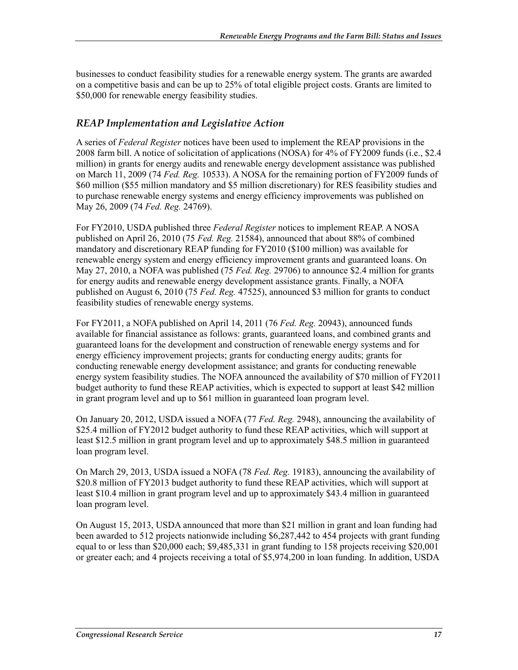businesses to conduct feasibility studies for a renewable energy system. The grants are awarded on a competitive basis and can be up to 25% of total eligible project costs. Grants are limited to \$50,000 for renewable energy feasibility studies.

## *REAP Implementation and Legislative Action*

A series of *Federal Register* notices have been used to implement the REAP provisions in the 2008 farm bill. A notice of solicitation of applications (NOSA) for 4% of FY2009 funds (i.e., \$2.4 million) in grants for energy audits and renewable energy development assistance was published on March 11, 2009 (74 *Fed. Reg.* 10533). A NOSA for the remaining portion of FY2009 funds of \$60 million (\$55 million mandatory and \$5 million discretionary) for RES feasibility studies and to purchase renewable energy systems and energy efficiency improvements was published on May 26, 2009 (74 *Fed. Reg.* 24769).

For FY2010, USDA published three *Federal Register* notices to implement REAP. A NOSA published on April 26, 2010 (75 *Fed. Reg.* 21584), announced that about 88% of combined mandatory and discretionary REAP funding for FY2010 (\$100 million) was available for renewable energy system and energy efficiency improvement grants and guaranteed loans. On May 27, 2010, a NOFA was published (75 *Fed. Reg.* 29706) to announce \$2.4 million for grants for energy audits and renewable energy development assistance grants. Finally, a NOFA published on August 6, 2010 (75 *Fed. Reg.* 47525), announced \$3 million for grants to conduct feasibility studies of renewable energy systems.

For FY2011, a NOFA published on April 14, 2011 (76 *Fed. Reg.* 20943), announced funds available for financial assistance as follows: grants, guaranteed loans, and combined grants and guaranteed loans for the development and construction of renewable energy systems and for energy efficiency improvement projects; grants for conducting energy audits; grants for conducting renewable energy development assistance; and grants for conducting renewable energy system feasibility studies. The NOFA announced the availability of \$70 million of FY2011 budget authority to fund these REAP activities, which is expected to support at least \$42 million in grant program level and up to \$61 million in guaranteed loan program level.

On January 20, 2012, USDA issued a NOFA (77 *Fed. Reg.* 2948), announcing the availability of \$25.4 million of FY2012 budget authority to fund these REAP activities, which will support at least \$12.5 million in grant program level and up to approximately \$48.5 million in guaranteed loan program level.

On March 29, 2013, USDA issued a NOFA (78 *Fed. Reg.* 19183), announcing the availability of \$20.8 million of FY2013 budget authority to fund these REAP activities, which will support at least \$10.4 million in grant program level and up to approximately \$43.4 million in guaranteed loan program level.

On August 15, 2013, USDA announced that more than \$21 million in grant and loan funding had been awarded to 512 projects nationwide including \$6,287,442 to 454 projects with grant funding equal to or less than \$20,000 each; \$9,485,331 in grant funding to 158 projects receiving \$20,001 or greater each; and 4 projects receiving a total of \$5,974,200 in loan funding. In addition, USDA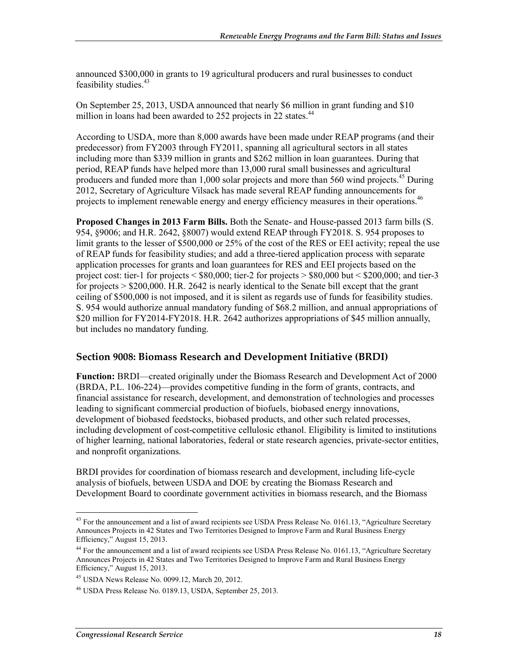announced \$300,000 in grants to 19 agricultural producers and rural businesses to conduct feasibility studies.<sup>43</sup>

On September 25, 2013, USDA announced that nearly \$6 million in grant funding and \$10 million in loans had been awarded to  $252$  projects in  $22$  states.<sup>44</sup>

According to USDA, more than 8,000 awards have been made under REAP programs (and their predecessor) from FY2003 through FY2011, spanning all agricultural sectors in all states including more than \$339 million in grants and \$262 million in loan guarantees. During that period, REAP funds have helped more than 13,000 rural small businesses and agricultural producers and funded more than 1,000 solar projects and more than 560 wind projects.<sup>45</sup> During 2012, Secretary of Agriculture Vilsack has made several REAP funding announcements for projects to implement renewable energy and energy efficiency measures in their operations.<sup>46</sup>

**Proposed Changes in 2013 Farm Bills.** Both the Senate- and House-passed 2013 farm bills (S. 954, §9006; and H.R. 2642, §8007) would extend REAP through FY2018. S. 954 proposes to limit grants to the lesser of \$500,000 or 25% of the cost of the RES or EEI activity; repeal the use of REAP funds for feasibility studies; and add a three-tiered application process with separate application processes for grants and loan guarantees for RES and EEI projects based on the project cost: tier-1 for projects  $\leq$  \$80,000; tier-2 for projects  $\geq$  \$80,000 but  $\leq$  \$200,000; and tier-3 for projects > \$200,000. H.R. 2642 is nearly identical to the Senate bill except that the grant ceiling of \$500,000 is not imposed, and it is silent as regards use of funds for feasibility studies. S. 954 would authorize annual mandatory funding of \$68.2 million, and annual appropriations of \$20 million for FY2014-FY2018. H.R. 2642 authorizes appropriations of \$45 million annually, but includes no mandatory funding.

#### **Section 9008: Biomass Research and Development Initiative (BRDI)**

**Function:** BRDI—created originally under the Biomass Research and Development Act of 2000 (BRDA, P.L. 106-224)—provides competitive funding in the form of grants, contracts, and financial assistance for research, development, and demonstration of technologies and processes leading to significant commercial production of biofuels, biobased energy innovations, development of biobased feedstocks, biobased products, and other such related processes, including development of cost-competitive cellulosic ethanol. Eligibility is limited to institutions of higher learning, national laboratories, federal or state research agencies, private-sector entities, and nonprofit organizations.

BRDI provides for coordination of biomass research and development, including life-cycle analysis of biofuels, between USDA and DOE by creating the Biomass Research and Development Board to coordinate government activities in biomass research, and the Biomass

<sup>&</sup>lt;sup>43</sup> For the announcement and a list of award recipients see USDA Press Release No. 0161.13, "Agriculture Secretary Announces Projects in 42 States and Two Territories Designed to Improve Farm and Rural Business Energy Efficiency," August 15, 2013.

<sup>&</sup>lt;sup>44</sup> For the announcement and a list of award recipients see USDA Press Release No. 0161.13, "Agriculture Secretary Announces Projects in 42 States and Two Territories Designed to Improve Farm and Rural Business Energy Efficiency," August 15, 2013.

<sup>45</sup> USDA News Release No. 0099.12, March 20, 2012.

<sup>46</sup> USDA Press Release No. 0189.13, USDA, September 25, 2013.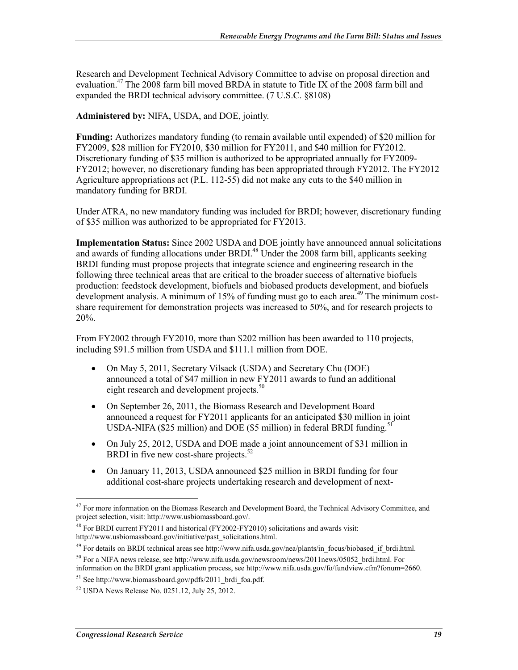Research and Development Technical Advisory Committee to advise on proposal direction and evaluation.<sup>47</sup> The 2008 farm bill moved BRDA in statute to Title IX of the 2008 farm bill and expanded the BRDI technical advisory committee. (7 U.S.C. §8108)

**Administered by:** NIFA, USDA, and DOE, jointly.

**Funding:** Authorizes mandatory funding (to remain available until expended) of \$20 million for FY2009, \$28 million for FY2010, \$30 million for FY2011, and \$40 million for FY2012. Discretionary funding of \$35 million is authorized to be appropriated annually for FY2009- FY2012; however, no discretionary funding has been appropriated through FY2012. The FY2012 Agriculture appropriations act (P.L. 112-55) did not make any cuts to the \$40 million in mandatory funding for BRDI.

Under ATRA, no new mandatory funding was included for BRDI; however, discretionary funding of \$35 million was authorized to be appropriated for FY2013.

**Implementation Status:** Since 2002 USDA and DOE jointly have announced annual solicitations and awards of funding allocations under BRDI.<sup>48</sup> Under the 2008 farm bill, applicants seeking BRDI funding must propose projects that integrate science and engineering research in the following three technical areas that are critical to the broader success of alternative biofuels production: feedstock development, biofuels and biobased products development, and biofuels development analysis. A minimum of 15% of funding must go to each area.<sup>49</sup> The minimum costshare requirement for demonstration projects was increased to 50%, and for research projects to 20%.

From FY2002 through FY2010, more than \$202 million has been awarded to 110 projects, including \$91.5 million from USDA and \$111.1 million from DOE.

- On May 5, 2011, Secretary Vilsack (USDA) and Secretary Chu (DOE) announced a total of \$47 million in new FY2011 awards to fund an additional eight research and development projects.<sup>50</sup>
- On September 26, 2011, the Biomass Research and Development Board announced a request for FY2011 applicants for an anticipated \$30 million in joint USDA-NIFA (\$25 million) and DOE (\$5 million) in federal BRDI funding.<sup>51</sup>
- On July 25, 2012, USDA and DOE made a joint announcement of \$31 million in BRDI in five new cost-share projects.<sup>52</sup>
- On January 11, 2013, USDA announced \$25 million in BRDI funding for four additional cost-share projects undertaking research and development of next-

<sup>&</sup>lt;sup>47</sup> For more information on the Biomass Research and Development Board, the Technical Advisory Committee, and project selection, visit: http://www.usbiomassboard.gov/.

<sup>48</sup> For BRDI current FY2011 and historical (FY2002-FY2010) solicitations and awards visit: http://www.usbiomassboard.gov/initiative/past\_solicitations.html.

 $^{49}$  For details on BRDI technical areas see http://www.nifa.usda.gov/nea/plants/in\_focus/biobased\_if\_brdi.html.

<sup>&</sup>lt;sup>50</sup> For a NIFA news release, see http://www.nifa.usda.gov/newsroom/news/2011news/05052 brdi.html. For information on the BRDI grant application process, see http://www.nifa.usda.gov/fo/fundview.cfm?fonum=2660.

 $51$  See http://www.biomassboard.gov/pdfs/2011 brdi foa.pdf.

<sup>52</sup> USDA News Release No. 0251.12, July 25, 2012.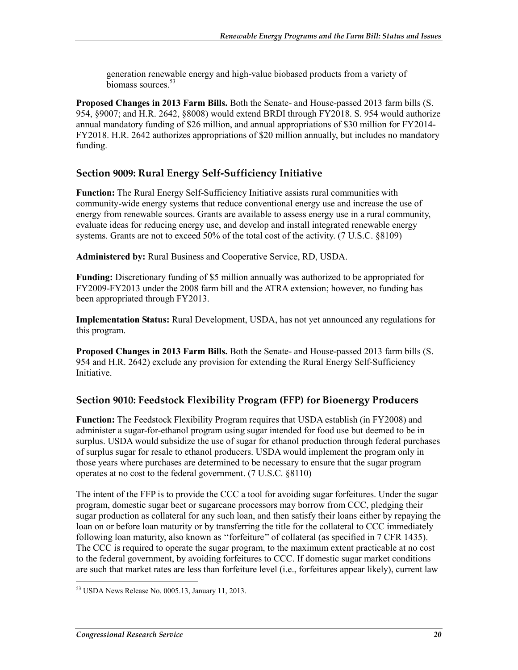generation renewable energy and high-value biobased products from a variety of biomass sources.<sup>53</sup>

**Proposed Changes in 2013 Farm Bills.** Both the Senate- and House-passed 2013 farm bills (S. 954, §9007; and H.R. 2642, §8008) would extend BRDI through FY2018. S. 954 would authorize annual mandatory funding of \$26 million, and annual appropriations of \$30 million for FY2014- FY2018. H.R. 2642 authorizes appropriations of \$20 million annually, but includes no mandatory funding.

## **Section 9009: Rural Energy Self-Sufficiency Initiative**

**Function:** The Rural Energy Self-Sufficiency Initiative assists rural communities with community-wide energy systems that reduce conventional energy use and increase the use of energy from renewable sources. Grants are available to assess energy use in a rural community, evaluate ideas for reducing energy use, and develop and install integrated renewable energy systems. Grants are not to exceed 50% of the total cost of the activity. (7 U.S.C. §8109)

**Administered by:** Rural Business and Cooperative Service, RD, USDA.

**Funding:** Discretionary funding of \$5 million annually was authorized to be appropriated for FY2009-FY2013 under the 2008 farm bill and the ATRA extension; however, no funding has been appropriated through FY2013.

**Implementation Status:** Rural Development, USDA, has not yet announced any regulations for this program.

**Proposed Changes in 2013 Farm Bills.** Both the Senate- and House-passed 2013 farm bills (S. 954 and H.R. 2642) exclude any provision for extending the Rural Energy Self-Sufficiency Initiative.

## **Section 9010: Feedstock Flexibility Program (FFP) for Bioenergy Producers**

**Function:** The Feedstock Flexibility Program requires that USDA establish (in FY2008) and administer a sugar-for-ethanol program using sugar intended for food use but deemed to be in surplus. USDA would subsidize the use of sugar for ethanol production through federal purchases of surplus sugar for resale to ethanol producers. USDA would implement the program only in those years where purchases are determined to be necessary to ensure that the sugar program operates at no cost to the federal government. (7 U.S.C. §8110)

The intent of the FFP is to provide the CCC a tool for avoiding sugar forfeitures. Under the sugar program, domestic sugar beet or sugarcane processors may borrow from CCC, pledging their sugar production as collateral for any such loan, and then satisfy their loans either by repaying the loan on or before loan maturity or by transferring the title for the collateral to CCC immediately following loan maturity, also known as ''forfeiture'' of collateral (as specified in 7 CFR 1435). The CCC is required to operate the sugar program, to the maximum extent practicable at no cost to the federal government, by avoiding forfeitures to CCC. If domestic sugar market conditions are such that market rates are less than forfeiture level (i.e., forfeitures appear likely), current law

<sup>&</sup>lt;u>.</u> <sup>53</sup> USDA News Release No. 0005.13, January 11, 2013.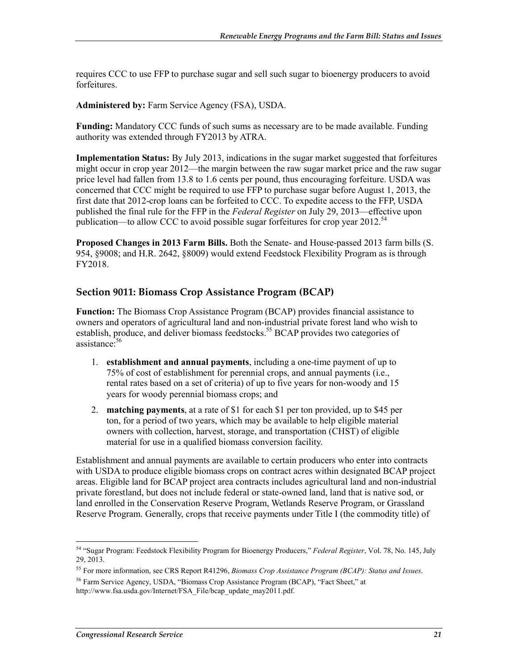requires CCC to use FFP to purchase sugar and sell such sugar to bioenergy producers to avoid forfeitures.

**Administered by:** Farm Service Agency (FSA), USDA.

**Funding:** Mandatory CCC funds of such sums as necessary are to be made available. Funding authority was extended through FY2013 by ATRA.

**Implementation Status:** By July 2013, indications in the sugar market suggested that forfeitures might occur in crop year 2012—the margin between the raw sugar market price and the raw sugar price level had fallen from 13.8 to 1.6 cents per pound, thus encouraging forfeiture. USDA was concerned that CCC might be required to use FFP to purchase sugar before August 1, 2013, the first date that 2012-crop loans can be forfeited to CCC. To expedite access to the FFP, USDA published the final rule for the FFP in the *Federal Register* on July 29, 2013—effective upon publication—to allow CCC to avoid possible sugar forfeitures for crop year  $2012.^{54}$ 

**Proposed Changes in 2013 Farm Bills.** Both the Senate- and House-passed 2013 farm bills (S. 954, §9008; and H.R. 2642, §8009) would extend Feedstock Flexibility Program as is through FY2018.

## **Section 9011: Biomass Crop Assistance Program (BCAP)**

**Function:** The Biomass Crop Assistance Program (BCAP) provides financial assistance to owners and operators of agricultural land and non-industrial private forest land who wish to establish, produce, and deliver biomass feedstocks.<sup>55</sup> BCAP provides two categories of assistance:<sup>56</sup>

- 1. **establishment and annual payments**, including a one-time payment of up to 75% of cost of establishment for perennial crops, and annual payments (i.e., rental rates based on a set of criteria) of up to five years for non-woody and 15 years for woody perennial biomass crops; and
- 2. **matching payments**, at a rate of \$1 for each \$1 per ton provided, up to \$45 per ton, for a period of two years, which may be available to help eligible material owners with collection, harvest, storage, and transportation (CHST) of eligible material for use in a qualified biomass conversion facility.

Establishment and annual payments are available to certain producers who enter into contracts with USDA to produce eligible biomass crops on contract acres within designated BCAP project areas. Eligible land for BCAP project area contracts includes agricultural land and non-industrial private forestland, but does not include federal or state-owned land, land that is native sod, or land enrolled in the Conservation Reserve Program, Wetlands Reserve Program, or Grassland Reserve Program. Generally, crops that receive payments under Title I (the commodity title) of

<sup>1</sup> 54 "Sugar Program: Feedstock Flexibility Program for Bioenergy Producers," *Federal Register*, Vol. 78, No. 145, July 29, 2013.

<sup>55</sup> For more information, see CRS Report R41296, *Biomass Crop Assistance Program (BCAP): Status and Issues*.

<sup>56</sup> Farm Service Agency, USDA, "Biomass Crop Assistance Program (BCAP), "Fact Sheet," at

http://www.fsa.usda.gov/Internet/FSA\_File/bcap\_update\_may2011.pdf.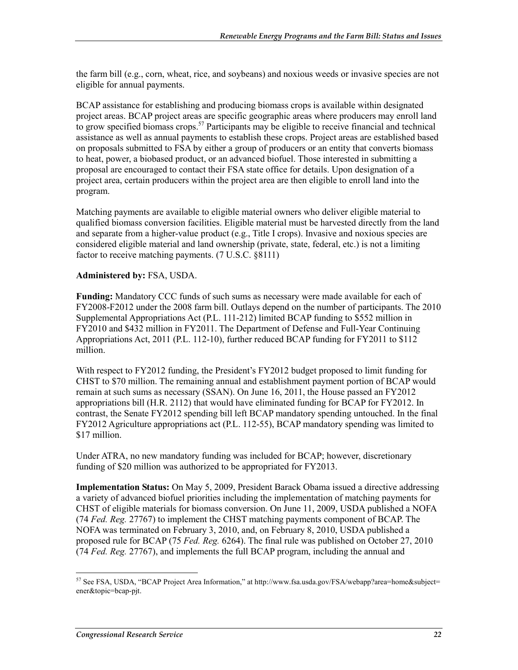the farm bill (e.g., corn, wheat, rice, and soybeans) and noxious weeds or invasive species are not eligible for annual payments.

BCAP assistance for establishing and producing biomass crops is available within designated project areas. BCAP project areas are specific geographic areas where producers may enroll land to grow specified biomass crops.<sup>57</sup> Participants may be eligible to receive financial and technical assistance as well as annual payments to establish these crops. Project areas are established based on proposals submitted to FSA by either a group of producers or an entity that converts biomass to heat, power, a biobased product, or an advanced biofuel. Those interested in submitting a proposal are encouraged to contact their FSA state office for details. Upon designation of a project area, certain producers within the project area are then eligible to enroll land into the program.

Matching payments are available to eligible material owners who deliver eligible material to qualified biomass conversion facilities. Eligible material must be harvested directly from the land and separate from a higher-value product (e.g., Title I crops). Invasive and noxious species are considered eligible material and land ownership (private, state, federal, etc.) is not a limiting factor to receive matching payments. (7 U.S.C. §8111)

#### **Administered by:** FSA, USDA.

**Funding:** Mandatory CCC funds of such sums as necessary were made available for each of FY2008-F2012 under the 2008 farm bill. Outlays depend on the number of participants. The 2010 Supplemental Appropriations Act (P.L. 111-212) limited BCAP funding to \$552 million in FY2010 and \$432 million in FY2011. The Department of Defense and Full-Year Continuing Appropriations Act, 2011 (P.L. 112-10), further reduced BCAP funding for FY2011 to \$112 million.

With respect to FY2012 funding, the President's FY2012 budget proposed to limit funding for CHST to \$70 million. The remaining annual and establishment payment portion of BCAP would remain at such sums as necessary (SSAN). On June 16, 2011, the House passed an FY2012 appropriations bill (H.R. 2112) that would have eliminated funding for BCAP for FY2012. In contrast, the Senate FY2012 spending bill left BCAP mandatory spending untouched. In the final FY2012 Agriculture appropriations act (P.L. 112-55), BCAP mandatory spending was limited to \$17 million.

Under ATRA, no new mandatory funding was included for BCAP; however, discretionary funding of \$20 million was authorized to be appropriated for FY2013.

**Implementation Status:** On May 5, 2009, President Barack Obama issued a directive addressing a variety of advanced biofuel priorities including the implementation of matching payments for CHST of eligible materials for biomass conversion. On June 11, 2009, USDA published a NOFA (74 *Fed. Reg.* 27767) to implement the CHST matching payments component of BCAP. The NOFA was terminated on February 3, 2010, and, on February 8, 2010, USDA published a proposed rule for BCAP (75 *Fed. Reg.* 6264). The final rule was published on October 27, 2010 (74 *Fed. Reg.* 27767), and implements the full BCAP program, including the annual and

<sup>&</sup>lt;sup>57</sup> See FSA, USDA, "BCAP Project Area Information," at http://www.fsa.usda.gov/FSA/webapp?area=home&subject= ener&topic=bcap-pjt.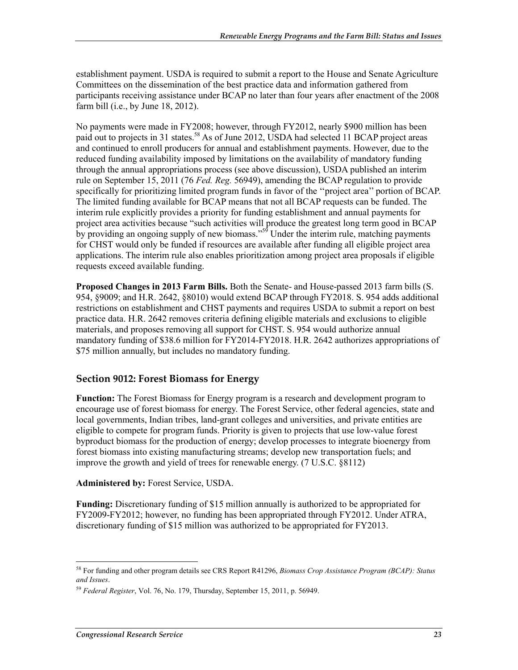establishment payment. USDA is required to submit a report to the House and Senate Agriculture Committees on the dissemination of the best practice data and information gathered from participants receiving assistance under BCAP no later than four years after enactment of the 2008 farm bill (i.e., by June 18, 2012).

No payments were made in FY2008; however, through FY2012, nearly \$900 million has been paid out to projects in 31 states.<sup>58</sup> As of June 2012, USDA had selected 11 BCAP project areas and continued to enroll producers for annual and establishment payments. However, due to the reduced funding availability imposed by limitations on the availability of mandatory funding through the annual appropriations process (see above discussion), USDA published an interim rule on September 15, 2011 (76 *Fed. Reg.* 56949), amending the BCAP regulation to provide specifically for prioritizing limited program funds in favor of the ''project area'' portion of BCAP. The limited funding available for BCAP means that not all BCAP requests can be funded. The interim rule explicitly provides a priority for funding establishment and annual payments for project area activities because "such activities will produce the greatest long term good in BCAP by providing an ongoing supply of new biomass."<sup>59</sup> Under the interim rule, matching payments for CHST would only be funded if resources are available after funding all eligible project area applications. The interim rule also enables prioritization among project area proposals if eligible requests exceed available funding.

**Proposed Changes in 2013 Farm Bills.** Both the Senate- and House-passed 2013 farm bills (S. 954, §9009; and H.R. 2642, §8010) would extend BCAP through FY2018. S. 954 adds additional restrictions on establishment and CHST payments and requires USDA to submit a report on best practice data. H.R. 2642 removes criteria defining eligible materials and exclusions to eligible materials, and proposes removing all support for CHST. S. 954 would authorize annual mandatory funding of \$38.6 million for FY2014-FY2018. H.R. 2642 authorizes appropriations of \$75 million annually, but includes no mandatory funding.

## **Section 9012: Forest Biomass for Energy**

**Function:** The Forest Biomass for Energy program is a research and development program to encourage use of forest biomass for energy. The Forest Service, other federal agencies, state and local governments, Indian tribes, land-grant colleges and universities, and private entities are eligible to compete for program funds. Priority is given to projects that use low-value forest byproduct biomass for the production of energy; develop processes to integrate bioenergy from forest biomass into existing manufacturing streams; develop new transportation fuels; and improve the growth and yield of trees for renewable energy. (7 U.S.C. §8112)

#### **Administered by:** Forest Service, USDA.

**Funding:** Discretionary funding of \$15 million annually is authorized to be appropriated for FY2009-FY2012; however, no funding has been appropriated through FY2012. Under ATRA, discretionary funding of \$15 million was authorized to be appropriated for FY2013.

<sup>58</sup> For funding and other program details see CRS Report R41296, *Biomass Crop Assistance Program (BCAP): Status and Issues*.

<sup>59</sup> *Federal Register*, Vol. 76, No. 179, Thursday, September 15, 2011, p. 56949.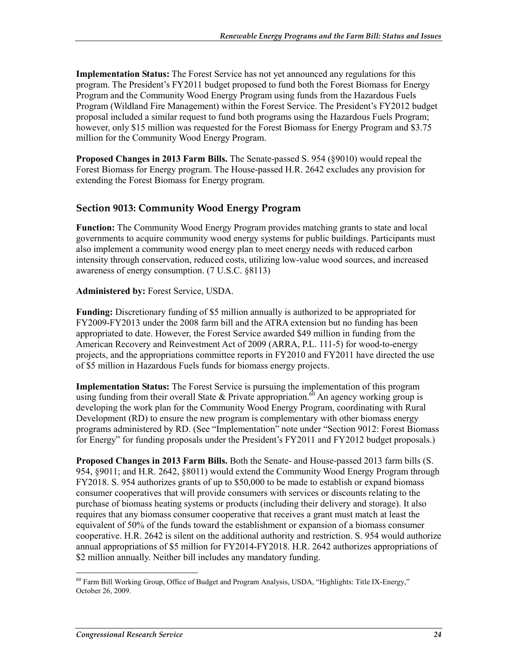**Implementation Status:** The Forest Service has not yet announced any regulations for this program. The President's FY2011 budget proposed to fund both the Forest Biomass for Energy Program and the Community Wood Energy Program using funds from the Hazardous Fuels Program (Wildland Fire Management) within the Forest Service. The President's FY2012 budget proposal included a similar request to fund both programs using the Hazardous Fuels Program; however, only \$15 million was requested for the Forest Biomass for Energy Program and \$3.75 million for the Community Wood Energy Program.

**Proposed Changes in 2013 Farm Bills.** The Senate-passed S. 954 (§9010) would repeal the Forest Biomass for Energy program. The House-passed H.R. 2642 excludes any provision for extending the Forest Biomass for Energy program.

## **Section 9013: Community Wood Energy Program**

**Function:** The Community Wood Energy Program provides matching grants to state and local governments to acquire community wood energy systems for public buildings. Participants must also implement a community wood energy plan to meet energy needs with reduced carbon intensity through conservation, reduced costs, utilizing low-value wood sources, and increased awareness of energy consumption. (7 U.S.C. §8113)

#### **Administered by:** Forest Service, USDA.

**Funding:** Discretionary funding of \$5 million annually is authorized to be appropriated for FY2009-FY2013 under the 2008 farm bill and the ATRA extension but no funding has been appropriated to date. However, the Forest Service awarded \$49 million in funding from the American Recovery and Reinvestment Act of 2009 (ARRA, P.L. 111-5) for wood-to-energy projects, and the appropriations committee reports in FY2010 and FY2011 have directed the use of \$5 million in Hazardous Fuels funds for biomass energy projects.

**Implementation Status:** The Forest Service is pursuing the implementation of this program using funding from their overall State & Private appropriation.<sup>60</sup> An agency working group is developing the work plan for the Community Wood Energy Program, coordinating with Rural Development (RD) to ensure the new program is complementary with other biomass energy programs administered by RD. (See "Implementation" note under "Section 9012: Forest Biomass for Energy" for funding proposals under the President's FY2011 and FY2012 budget proposals.)

**Proposed Changes in 2013 Farm Bills.** Both the Senate- and House-passed 2013 farm bills (S. 954, §9011; and H.R. 2642, §8011) would extend the Community Wood Energy Program through FY2018. S. 954 authorizes grants of up to \$50,000 to be made to establish or expand biomass consumer cooperatives that will provide consumers with services or discounts relating to the purchase of biomass heating systems or products (including their delivery and storage). It also requires that any biomass consumer cooperative that receives a grant must match at least the equivalent of 50% of the funds toward the establishment or expansion of a biomass consumer cooperative. H.R. 2642 is silent on the additional authority and restriction. S. 954 would authorize annual appropriations of \$5 million for FY2014-FY2018. H.R. 2642 authorizes appropriations of \$2 million annually. Neither bill includes any mandatory funding.

<sup>1</sup>  $60$  Farm Bill Working Group, Office of Budget and Program Analysis, USDA, "Highlights: Title IX-Energy," October 26, 2009.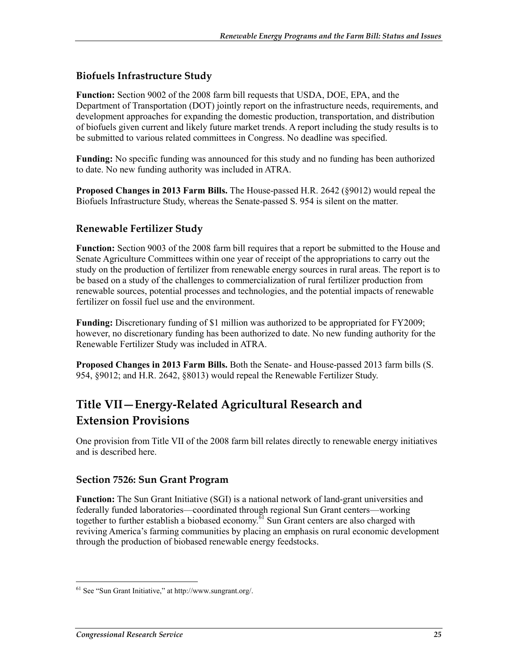## **Biofuels Infrastructure Study**

**Function:** Section 9002 of the 2008 farm bill requests that USDA, DOE, EPA, and the Department of Transportation (DOT) jointly report on the infrastructure needs, requirements, and development approaches for expanding the domestic production, transportation, and distribution of biofuels given current and likely future market trends. A report including the study results is to be submitted to various related committees in Congress. No deadline was specified.

**Funding:** No specific funding was announced for this study and no funding has been authorized to date. No new funding authority was included in ATRA.

**Proposed Changes in 2013 Farm Bills.** The House-passed H.R. 2642 (§9012) would repeal the Biofuels Infrastructure Study, whereas the Senate-passed S. 954 is silent on the matter.

## **Renewable Fertilizer Study**

**Function:** Section 9003 of the 2008 farm bill requires that a report be submitted to the House and Senate Agriculture Committees within one year of receipt of the appropriations to carry out the study on the production of fertilizer from renewable energy sources in rural areas. The report is to be based on a study of the challenges to commercialization of rural fertilizer production from renewable sources, potential processes and technologies, and the potential impacts of renewable fertilizer on fossil fuel use and the environment.

**Funding:** Discretionary funding of \$1 million was authorized to be appropriated for FY2009; however, no discretionary funding has been authorized to date. No new funding authority for the Renewable Fertilizer Study was included in ATRA.

**Proposed Changes in 2013 Farm Bills.** Both the Senate- and House-passed 2013 farm bills (S. 954, §9012; and H.R. 2642, §8013) would repeal the Renewable Fertilizer Study.

# **Title VII—Energy-Related Agricultural Research and Extension Provisions**

One provision from Title VII of the 2008 farm bill relates directly to renewable energy initiatives and is described here.

#### **Section 7526: Sun Grant Program**

**Function:** The Sun Grant Initiative (SGI) is a national network of land-grant universities and federally funded laboratories—coordinated through regional Sun Grant centers—working together to further establish a biobased economy.<sup> $61$ </sup> Sun Grant centers are also charged with reviving America's farming communities by placing an emphasis on rural economic development through the production of biobased renewable energy feedstocks.

<sup>&</sup>lt;u>.</u> 61 See "Sun Grant Initiative," at http://www.sungrant.org/.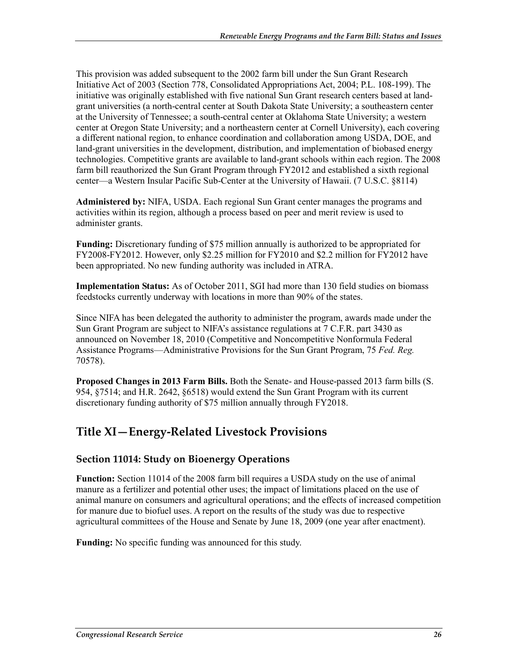This provision was added subsequent to the 2002 farm bill under the Sun Grant Research Initiative Act of 2003 (Section 778, Consolidated Appropriations Act, 2004; P.L. 108-199). The initiative was originally established with five national Sun Grant research centers based at landgrant universities (a north-central center at South Dakota State University; a southeastern center at the University of Tennessee; a south-central center at Oklahoma State University; a western center at Oregon State University; and a northeastern center at Cornell University), each covering a different national region, to enhance coordination and collaboration among USDA, DOE, and land-grant universities in the development, distribution, and implementation of biobased energy technologies. Competitive grants are available to land-grant schools within each region. The 2008 farm bill reauthorized the Sun Grant Program through FY2012 and established a sixth regional center—a Western Insular Pacific Sub-Center at the University of Hawaii. (7 U.S.C. §8114)

**Administered by:** NIFA, USDA. Each regional Sun Grant center manages the programs and activities within its region, although a process based on peer and merit review is used to administer grants.

**Funding:** Discretionary funding of \$75 million annually is authorized to be appropriated for FY2008-FY2012. However, only \$2.25 million for FY2010 and \$2.2 million for FY2012 have been appropriated. No new funding authority was included in ATRA.

**Implementation Status:** As of October 2011, SGI had more than 130 field studies on biomass feedstocks currently underway with locations in more than 90% of the states.

Since NIFA has been delegated the authority to administer the program, awards made under the Sun Grant Program are subject to NIFA's assistance regulations at 7 C.F.R. part 3430 as announced on November 18, 2010 (Competitive and Noncompetitive Nonformula Federal Assistance Programs—Administrative Provisions for the Sun Grant Program, 75 *Fed. Reg.* 70578).

**Proposed Changes in 2013 Farm Bills.** Both the Senate- and House-passed 2013 farm bills (S. 954, §7514; and H.R. 2642, §6518) would extend the Sun Grant Program with its current discretionary funding authority of \$75 million annually through FY2018.

# **Title XI—Energy-Related Livestock Provisions**

## **Section 11014: Study on Bioenergy Operations**

**Function:** Section 11014 of the 2008 farm bill requires a USDA study on the use of animal manure as a fertilizer and potential other uses; the impact of limitations placed on the use of animal manure on consumers and agricultural operations; and the effects of increased competition for manure due to biofuel uses. A report on the results of the study was due to respective agricultural committees of the House and Senate by June 18, 2009 (one year after enactment).

**Funding:** No specific funding was announced for this study.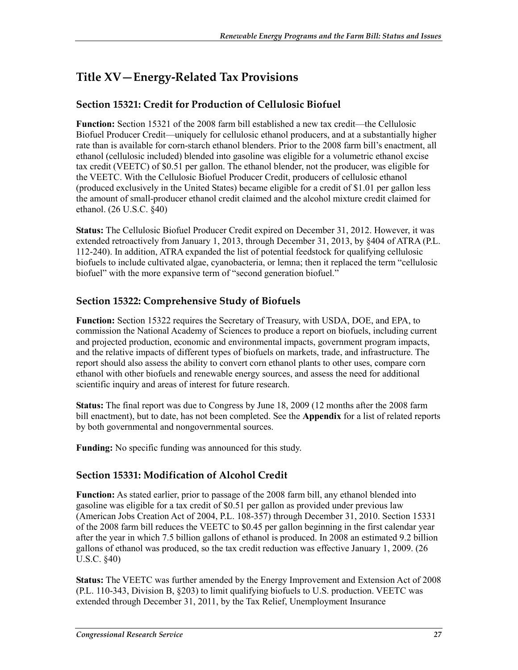# **Title XV—Energy-Related Tax Provisions**

## **Section 15321: Credit for Production of Cellulosic Biofuel**

**Function:** Section 15321 of the 2008 farm bill established a new tax credit—the Cellulosic Biofuel Producer Credit—uniquely for cellulosic ethanol producers, and at a substantially higher rate than is available for corn-starch ethanol blenders. Prior to the 2008 farm bill's enactment, all ethanol (cellulosic included) blended into gasoline was eligible for a volumetric ethanol excise tax credit (VEETC) of \$0.51 per gallon. The ethanol blender, not the producer, was eligible for the VEETC. With the Cellulosic Biofuel Producer Credit, producers of cellulosic ethanol (produced exclusively in the United States) became eligible for a credit of \$1.01 per gallon less the amount of small-producer ethanol credit claimed and the alcohol mixture credit claimed for ethanol. (26 U.S.C. §40)

**Status:** The Cellulosic Biofuel Producer Credit expired on December 31, 2012. However, it was extended retroactively from January 1, 2013, through December 31, 2013, by §404 of ATRA (P.L. 112-240). In addition, ATRA expanded the list of potential feedstock for qualifying cellulosic biofuels to include cultivated algae, cyanobacteria, or lemna; then it replaced the term "cellulosic biofuel" with the more expansive term of "second generation biofuel."

## **Section 15322: Comprehensive Study of Biofuels**

**Function:** Section 15322 requires the Secretary of Treasury, with USDA, DOE, and EPA, to commission the National Academy of Sciences to produce a report on biofuels, including current and projected production, economic and environmental impacts, government program impacts, and the relative impacts of different types of biofuels on markets, trade, and infrastructure. The report should also assess the ability to convert corn ethanol plants to other uses, compare corn ethanol with other biofuels and renewable energy sources, and assess the need for additional scientific inquiry and areas of interest for future research.

**Status:** The final report was due to Congress by June 18, 2009 (12 months after the 2008 farm bill enactment), but to date, has not been completed. See the **Appendix** for a list of related reports by both governmental and nongovernmental sources.

**Funding:** No specific funding was announced for this study.

## **Section 15331: Modification of Alcohol Credit**

**Function:** As stated earlier, prior to passage of the 2008 farm bill, any ethanol blended into gasoline was eligible for a tax credit of \$0.51 per gallon as provided under previous law (American Jobs Creation Act of 2004, P.L. 108-357) through December 31, 2010. Section 15331 of the 2008 farm bill reduces the VEETC to \$0.45 per gallon beginning in the first calendar year after the year in which 7.5 billion gallons of ethanol is produced. In 2008 an estimated 9.2 billion gallons of ethanol was produced, so the tax credit reduction was effective January 1, 2009. (26 U.S.C. §40)

**Status:** The VEETC was further amended by the Energy Improvement and Extension Act of 2008 (P.L. 110-343, Division B, §203) to limit qualifying biofuels to U.S. production. VEETC was extended through December 31, 2011, by the Tax Relief, Unemployment Insurance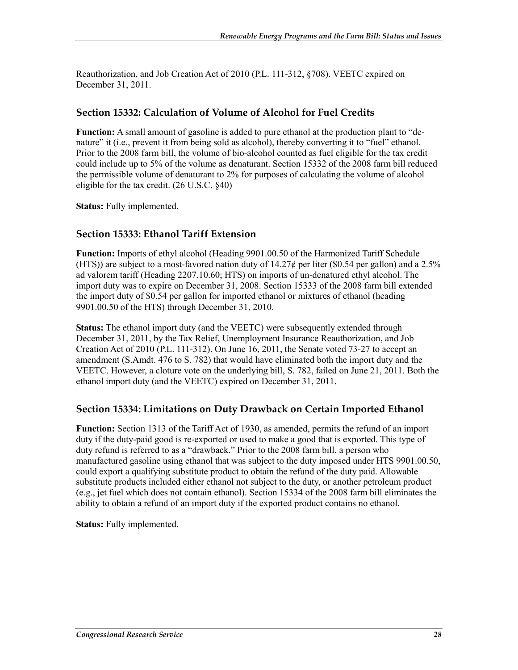Reauthorization, and Job Creation Act of 2010 (P.L. 111-312, §708). VEETC expired on December 31, 2011.

## **Section 15332: Calculation of Volume of Alcohol for Fuel Credits**

**Function:** A small amount of gasoline is added to pure ethanol at the production plant to "denature" it (i.e., prevent it from being sold as alcohol), thereby converting it to "fuel" ethanol. Prior to the 2008 farm bill, the volume of bio-alcohol counted as fuel eligible for the tax credit could include up to 5% of the volume as denaturant. Section 15332 of the 2008 farm bill reduced the permissible volume of denaturant to 2% for purposes of calculating the volume of alcohol eligible for the tax credit. (26 U.S.C. §40)

**Status:** Fully implemented.

## **Section 15333: Ethanol Tariff Extension**

**Function:** Imports of ethyl alcohol (Heading 9901.00.50 of the Harmonized Tariff Schedule (HTS)) are subject to a most-favored nation duty of  $14.27\phi$  per liter (\$0.54 per gallon) and a 2.5% ad valorem tariff (Heading 2207.10.60; HTS) on imports of un-denatured ethyl alcohol. The import duty was to expire on December 31, 2008. Section 15333 of the 2008 farm bill extended the import duty of \$0.54 per gallon for imported ethanol or mixtures of ethanol (heading 9901.00.50 of the HTS) through December 31, 2010.

**Status:** The ethanol import duty (and the VEETC) were subsequently extended through December 31, 2011, by the Tax Relief, Unemployment Insurance Reauthorization, and Job Creation Act of 2010 (P.L. 111-312). On June 16, 2011, the Senate voted 73-27 to accept an amendment (S.Amdt. 476 to S. 782) that would have eliminated both the import duty and the VEETC. However, a cloture vote on the underlying bill, S. 782, failed on June 21, 2011. Both the ethanol import duty (and the VEETC) expired on December 31, 2011.

## **Section 15334: Limitations on Duty Drawback on Certain Imported Ethanol**

**Function:** Section 1313 of the Tariff Act of 1930, as amended, permits the refund of an import duty if the duty-paid good is re-exported or used to make a good that is exported. This type of duty refund is referred to as a "drawback." Prior to the 2008 farm bill, a person who manufactured gasoline using ethanol that was subject to the duty imposed under HTS 9901.00.50, could export a qualifying substitute product to obtain the refund of the duty paid. Allowable substitute products included either ethanol not subject to the duty, or another petroleum product (e.g., jet fuel which does not contain ethanol). Section 15334 of the 2008 farm bill eliminates the ability to obtain a refund of an import duty if the exported product contains no ethanol.

**Status:** Fully implemented.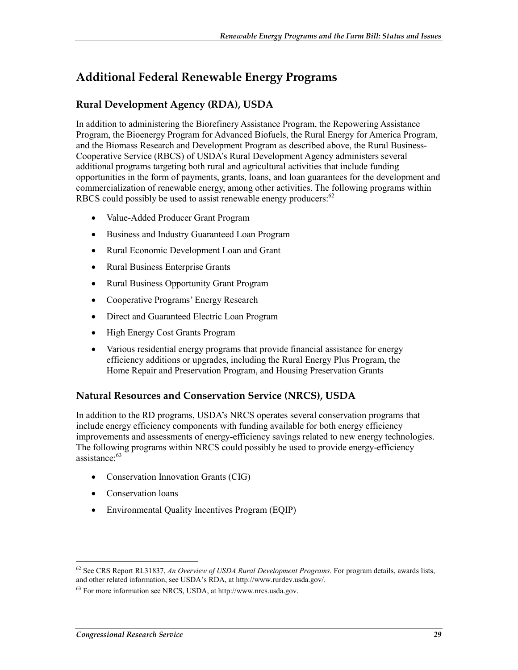# **Additional Federal Renewable Energy Programs**

## **Rural Development Agency (RDA), USDA**

In addition to administering the Biorefinery Assistance Program, the Repowering Assistance Program, the Bioenergy Program for Advanced Biofuels, the Rural Energy for America Program, and the Biomass Research and Development Program as described above, the Rural Business-Cooperative Service (RBCS) of USDA's Rural Development Agency administers several additional programs targeting both rural and agricultural activities that include funding opportunities in the form of payments, grants, loans, and loan guarantees for the development and commercialization of renewable energy, among other activities. The following programs within RBCS could possibly be used to assist renewable energy producers: $62$ 

- Value-Added Producer Grant Program
- Business and Industry Guaranteed Loan Program
- Rural Economic Development Loan and Grant
- Rural Business Enterprise Grants
- Rural Business Opportunity Grant Program
- Cooperative Programs' Energy Research
- Direct and Guaranteed Electric Loan Program
- High Energy Cost Grants Program
- Various residential energy programs that provide financial assistance for energy efficiency additions or upgrades, including the Rural Energy Plus Program, the Home Repair and Preservation Program, and Housing Preservation Grants

## **Natural Resources and Conservation Service (NRCS), USDA**

In addition to the RD programs, USDA's NRCS operates several conservation programs that include energy efficiency components with funding available for both energy efficiency improvements and assessments of energy-efficiency savings related to new energy technologies. The following programs within NRCS could possibly be used to provide energy-efficiency assistance:<sup>63</sup>

- Conservation Innovation Grants (CIG)
- Conservation loans
- Environmental Quality Incentives Program (EQIP)

<sup>62</sup> See CRS Report RL31837, *An Overview of USDA Rural Development Programs*. For program details, awards lists, and other related information, see USDA's RDA, at http://www.rurdev.usda.gov/.

<sup>63</sup> For more information see NRCS, USDA, at http://www.nrcs.usda.gov.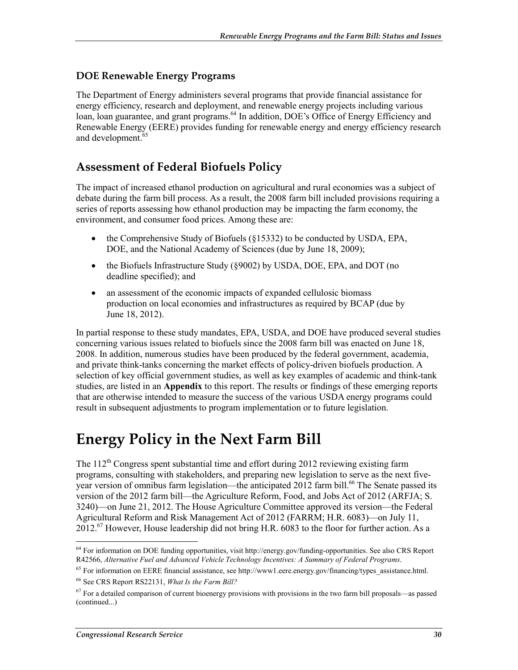## **DOE Renewable Energy Programs**

The Department of Energy administers several programs that provide financial assistance for energy efficiency, research and deployment, and renewable energy projects including various loan, loan guarantee, and grant programs.<sup>64</sup> In addition, DOE's Office of Energy Efficiency and Renewable Energy (EERE) provides funding for renewable energy and energy efficiency research and development.<sup>65</sup>

## **Assessment of Federal Biofuels Policy**

The impact of increased ethanol production on agricultural and rural economies was a subject of debate during the farm bill process. As a result, the 2008 farm bill included provisions requiring a series of reports assessing how ethanol production may be impacting the farm economy, the environment, and consumer food prices. Among these are:

- the Comprehensive Study of Biofuels (§15332) to be conducted by USDA, EPA, DOE, and the National Academy of Sciences (due by June 18, 2009);
- the Biofuels Infrastructure Study (§9002) by USDA, DOE, EPA, and DOT (no deadline specified); and
- an assessment of the economic impacts of expanded cellulosic biomass production on local economies and infrastructures as required by BCAP (due by June 18, 2012).

In partial response to these study mandates, EPA, USDA, and DOE have produced several studies concerning various issues related to biofuels since the 2008 farm bill was enacted on June 18, 2008. In addition, numerous studies have been produced by the federal government, academia, and private think-tanks concerning the market effects of policy-driven biofuels production. A selection of key official government studies, as well as key examples of academic and think-tank studies, are listed in an **Appendix** to this report. The results or findings of these emerging reports that are otherwise intended to measure the success of the various USDA energy programs could result in subsequent adjustments to program implementation or to future legislation.

# **Energy Policy in the Next Farm Bill**

The  $112^{th}$  Congress spent substantial time and effort during 2012 reviewing existing farm programs, consulting with stakeholders, and preparing new legislation to serve as the next fiveyear version of omnibus farm legislation—the anticipated 2012 farm bill.<sup>66</sup> The Senate passed its version of the 2012 farm bill—the Agriculture Reform, Food, and Jobs Act of 2012 (ARFJA; S. 3240)—on June 21, 2012. The House Agriculture Committee approved its version—the Federal Agricultural Reform and Risk Management Act of 2012 (FARRM; H.R. 6083)—on July 11,  $2012<sup>67</sup>$  However, House leadership did not bring H.R. 6083 to the floor for further action. As a

<sup>1</sup> 64 For information on DOE funding opportunities, visit http://energy.gov/funding-opportunities. See also CRS Report R42566, *Alternative Fuel and Advanced Vehicle Technology Incentives: A Summary of Federal Programs*.

 $65$  For information on EERE financial assistance, see http://www1.eere.energy.gov/financing/types\_assistance.html.

<sup>66</sup> See CRS Report RS22131, *What Is the Farm Bill?*

 $67$  For a detailed comparison of current bioenergy provisions with provisions in the two farm bill proposals—as passed (continued...)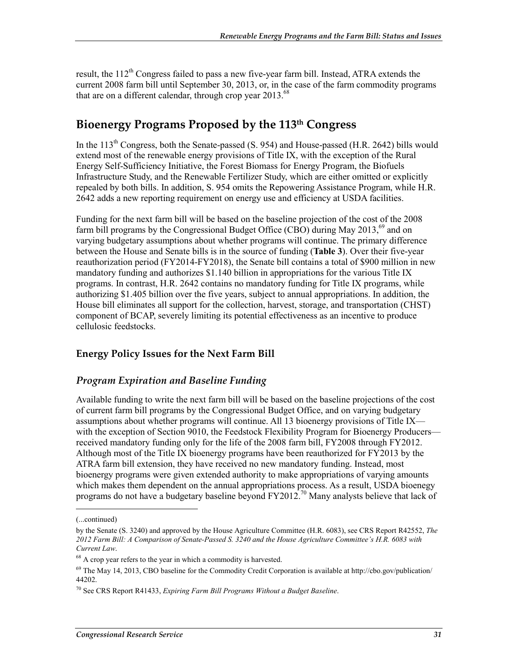result, the  $112<sup>th</sup>$  Congress failed to pass a new five-year farm bill. Instead, ATRA extends the current 2008 farm bill until September 30, 2013, or, in the case of the farm commodity programs that are on a different calendar, through crop year  $2013^{68}$ 

## **Bioenergy Programs Proposed by the 113th Congress**

In the  $113<sup>th</sup>$  Congress, both the Senate-passed (S. 954) and House-passed (H.R. 2642) bills would extend most of the renewable energy provisions of Title IX, with the exception of the Rural Energy Self-Sufficiency Initiative, the Forest Biomass for Energy Program, the Biofuels Infrastructure Study, and the Renewable Fertilizer Study, which are either omitted or explicitly repealed by both bills. In addition, S. 954 omits the Repowering Assistance Program, while H.R. 2642 adds a new reporting requirement on energy use and efficiency at USDA facilities.

Funding for the next farm bill will be based on the baseline projection of the cost of the 2008 farm bill programs by the Congressional Budget Office (CBO) during May  $2013<sup>69</sup>$  and on varying budgetary assumptions about whether programs will continue. The primary difference between the House and Senate bills is in the source of funding (**Table 3**). Over their five-year reauthorization period (FY2014-FY2018), the Senate bill contains a total of \$900 million in new mandatory funding and authorizes \$1.140 billion in appropriations for the various Title IX programs. In contrast, H.R. 2642 contains no mandatory funding for Title IX programs, while authorizing \$1.405 billion over the five years, subject to annual appropriations. In addition, the House bill eliminates all support for the collection, harvest, storage, and transportation (CHST) component of BCAP, severely limiting its potential effectiveness as an incentive to produce cellulosic feedstocks.

## **Energy Policy Issues for the Next Farm Bill**

#### *Program Expiration and Baseline Funding*

Available funding to write the next farm bill will be based on the baseline projections of the cost of current farm bill programs by the Congressional Budget Office, and on varying budgetary assumptions about whether programs will continue. All 13 bioenergy provisions of Title IX with the exception of Section 9010, the Feedstock Flexibility Program for Bioenergy Producers received mandatory funding only for the life of the 2008 farm bill, FY2008 through FY2012. Although most of the Title IX bioenergy programs have been reauthorized for FY2013 by the ATRA farm bill extension, they have received no new mandatory funding. Instead, most bioenergy programs were given extended authority to make appropriations of varying amounts which makes them dependent on the annual appropriations process. As a result, USDA bioenegy programs do not have a budgetary baseline beyond  $FY2012<sup>70</sup>$  Many analysts believe that lack of

<sup>(...</sup>continued)

by the Senate (S. 3240) and approved by the House Agriculture Committee (H.R. 6083), see CRS Report R42552, *The 2012 Farm Bill: A Comparison of Senate-Passed S. 3240 and the House Agriculture Committee's H.R. 6083 with Current Law*.

<sup>&</sup>lt;sup>68</sup> A crop year refers to the year in which a commodity is harvested.

<sup>69</sup> The May 14, 2013, CBO baseline for the Commodity Credit Corporation is available at http://cbo.gov/publication/ 44202.

<sup>70</sup> See CRS Report R41433, *Expiring Farm Bill Programs Without a Budget Baseline*.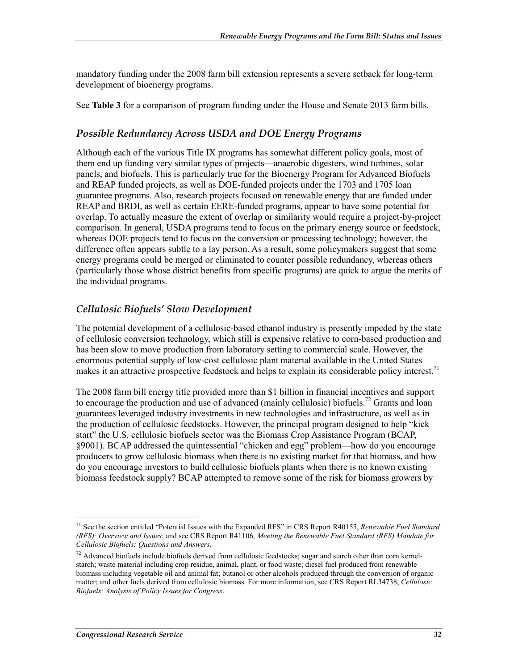mandatory funding under the 2008 farm bill extension represents a severe setback for long-term development of bioenergy programs.

See **Table 3** for a comparison of program funding under the House and Senate 2013 farm bills.

## *Possible Redundancy Across USDA and DOE Energy Programs*

Although each of the various Title IX programs has somewhat different policy goals, most of them end up funding very similar types of projects—anaerobic digesters, wind turbines, solar panels, and biofuels. This is particularly true for the Bioenergy Program for Advanced Biofuels and REAP funded projects, as well as DOE-funded projects under the 1703 and 1705 loan guarantee programs. Also, research projects focused on renewable energy that are funded under REAP and BRDI, as well as certain EERE-funded programs, appear to have some potential for overlap. To actually measure the extent of overlap or similarity would require a project-by-project comparison. In general, USDA programs tend to focus on the primary energy source or feedstock, whereas DOE projects tend to focus on the conversion or processing technology; however, the difference often appears subtle to a lay person. As a result, some policymakers suggest that some energy programs could be merged or eliminated to counter possible redundancy, whereas others (particularly those whose district benefits from specific programs) are quick to argue the merits of the individual programs.

## *Cellulosic Biofuels' Slow Development*

The potential development of a cellulosic-based ethanol industry is presently impeded by the state of cellulosic conversion technology, which still is expensive relative to corn-based production and has been slow to move production from laboratory setting to commercial scale. However, the enormous potential supply of low-cost cellulosic plant material available in the United States makes it an attractive prospective feedstock and helps to explain its considerable policy interest.<sup>71</sup>

The 2008 farm bill energy title provided more than \$1 billion in financial incentives and support to encourage the production and use of advanced (mainly cellulosic) biofuels.<sup>72</sup> Grants and loan guarantees leveraged industry investments in new technologies and infrastructure, as well as in the production of cellulosic feedstocks. However, the principal program designed to help "kick start" the U.S. cellulosic biofuels sector was the Biomass Crop Assistance Program (BCAP, §9001). BCAP addressed the quintessential "chicken and egg" problem—how do you encourage producers to grow cellulosic biomass when there is no existing market for that biomass, and how do you encourage investors to build cellulosic biofuels plants when there is no known existing biomass feedstock supply? BCAP attempted to remove some of the risk for biomass growers by

<sup>71</sup> See the section entitled "Potential Issues with the Expanded RFS" in CRS Report R40155, *Renewable Fuel Standard (RFS): Overview and Issues*; and see CRS Report R41106, *Meeting the Renewable Fuel Standard (RFS) Mandate for Cellulosic Biofuels: Questions and Answers*.

 $^{72}$  Advanced biofuels include biofuels derived from cellulosic feedstocks; sugar and starch other than corn kernelstarch; waste material including crop residue, animal, plant, or food waste; diesel fuel produced from renewable biomass including vegetable oil and animal fat; butanol or other alcohols produced through the conversion of organic matter; and other fuels derived from cellulosic biomass. For more information, see CRS Report RL34738, *Cellulosic Biofuels: Analysis of Policy Issues for Congress*.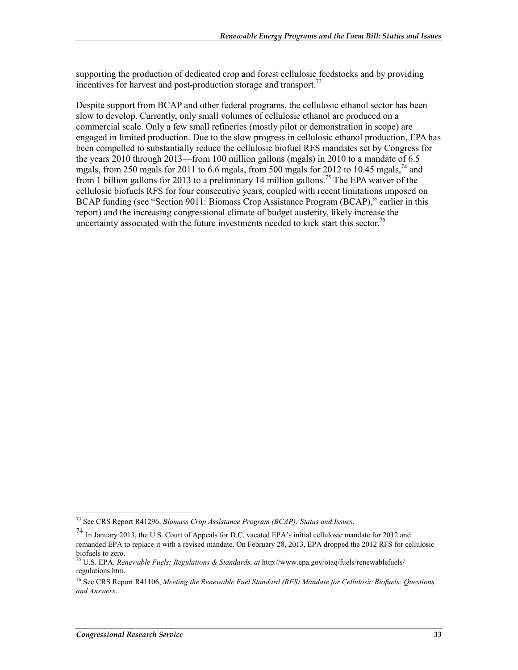supporting the production of dedicated crop and forest cellulosic feedstocks and by providing incentives for harvest and post-production storage and transport.<sup>73</sup>

Despite support from BCAP and other federal programs, the cellulosic ethanol sector has been slow to develop. Currently, only small volumes of cellulosic ethanol are produced on a commercial scale. Only a few small refineries (mostly pilot or demonstration in scope) are engaged in limited production. Due to the slow progress in cellulosic ethanol production, EPA has been compelled to substantially reduce the cellulosic biofuel RFS mandates set by Congress for the years 2010 through 2013—from 100 million gallons (mgals) in 2010 to a mandate of 6.5 mgals, from 250 mgals for 2011 to 6.6 mgals, from 500 mgals for 2012 to 10.45 mgals,<sup>74</sup> and from 1 billion gallons for 2013 to a preliminary 14 million gallons.<sup>75</sup> The EPA waiver of the cellulosic biofuels RFS for four consecutive years, coupled with recent limitations imposed on BCAP funding (see "Section 9011: Biomass Crop Assistance Program (BCAP)," earlier in this report) and the increasing congressional climate of budget austerity, likely increase the uncertainty associated with the future investments needed to kick start this sector.<sup>76</sup>

<sup>1</sup> 73 See CRS Report R41296, *Biomass Crop Assistance Program (BCAP): Status and Issues*.

<sup>74</sup> In January 2013, the U.S. Court of Appeals for D.C. vacated EPA's initial cellulosic mandate for 2012 and remanded EPA to replace it with a revised mandate. On February 28, 2013, EPA dropped the 2012 RFS for cellulosic biofuels to zero.

<sup>75</sup> U.S. EPA, *Renewable Fuels: Regulations & Standards, at* http://www.epa.gov/otaq/fuels/renewablefuels/ regulations.htm.

<sup>76</sup> See CRS Report R41106, *Meeting the Renewable Fuel Standard (RFS) Mandate for Cellulosic Biofuels: Questions and Answers*.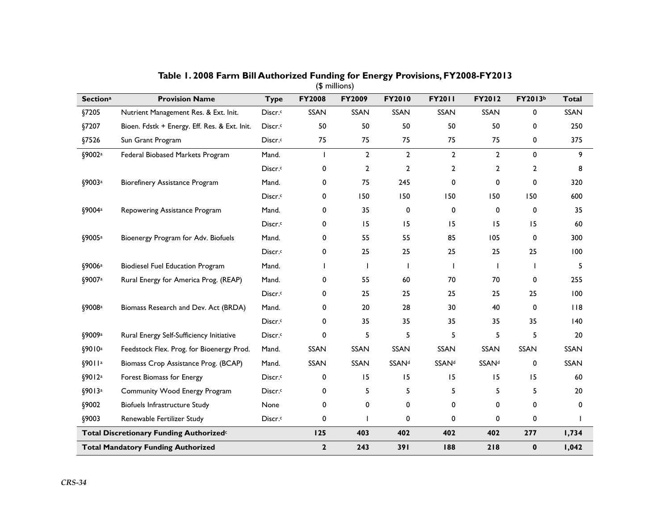|                    |                                                     |                     |               | $$$ millions)  |                |                |                |              |              |
|--------------------|-----------------------------------------------------|---------------------|---------------|----------------|----------------|----------------|----------------|--------------|--------------|
| <b>Sectiona</b>    | <b>Provision Name</b>                               | <b>Type</b>         | <b>FY2008</b> | FY2009         | FY2010         | <b>FY2011</b>  | FY2012         | FY2013b      | <b>Total</b> |
| §7205              | Nutrient Management Res. & Ext. Init.               | Discr. <sup>c</sup> | SSAN          | SSAN           | SSAN           | SSAN           | SSAN           | 0            | SSAN         |
| §7207              | Bioen. Fdstk + Energy. Eff. Res. & Ext. Init.       | Discr. <sup>c</sup> | 50            | 50             | 50             | 50             | 50             | 0            | 250          |
| §7526              | Sun Grant Program                                   | Discr. <sup>c</sup> | 75            | 75             | 75             | 75             | 75             | 0            | 375          |
| §9002ª             | Federal Biobased Markets Program                    | Mand.               | п             | $\overline{2}$ | $\overline{2}$ | $\overline{2}$ | $\overline{2}$ | 0            | 9            |
|                    |                                                     | Discr. <sup>c</sup> | 0             | 2              | 2              | 2              | $\overline{2}$ | 2            | 8            |
| §9003a             | Biorefinery Assistance Program                      | Mand.               | 0             | 75             | 245            | 0              | 0              | 0            | 320          |
|                    |                                                     | Discr.c             | 0             | 150            | 150            | 150            | 150            | 150          | 600          |
| §9004a             | Repowering Assistance Program                       | Mand.               | 0             | 35             | 0              | 0              | 0              | 0            | 35           |
|                    |                                                     | Discr. <sup>c</sup> | 0             | 15             | 15             | 15             | 15             | 15           | 60           |
| §9005ª             | Bioenergy Program for Adv. Biofuels                 | Mand.               | 0             | 55             | 55             | 85             | 105            | 0            | 300          |
|                    |                                                     | Discr. <sup>c</sup> | 0             | 25             | 25             | 25             | 25             | 25           | 100          |
| §9006 <sup>a</sup> | <b>Biodiesel Fuel Education Program</b>             | Mand.               |               |                |                | $\mathbf{I}$   |                | $\mathbf{I}$ | 5            |
| §9007a             | Rural Energy for America Prog. (REAP)               | Mand.               | 0             | 55             | 60             | 70             | 70             | 0            | 255          |
|                    |                                                     | Discr.c             | 0             | 25             | 25             | 25             | 25             | 25           | 100          |
| §9008a             | Biomass Research and Dev. Act (BRDA)                | Mand.               | 0             | 20             | 28             | 30             | 40             | 0            | 118          |
|                    |                                                     | Discr. <sup>c</sup> | 0             | 35             | 35             | 35             | 35             | 35           | $ 40\rangle$ |
| §9009a             | Rural Energy Self-Sufficiency Initiative            | Discr. <sup>c</sup> | 0             | 5              | 5              | 5              | 5              | 5            | 20           |
| §9010a             | Feedstock Flex. Prog. for Bioenergy Prod.           | Mand.               | SSAN          | SSAN           | <b>SSAN</b>    | SSAN           | <b>SSAN</b>    | SSAN         | <b>SSAN</b>  |
| \$9011a            | Biomass Crop Assistance Prog. (BCAP)                | Mand.               | SSAN          | SSAN           | <b>SSANd</b>   | <b>SSANd</b>   | <b>SSANd</b>   | 0            | <b>SSAN</b>  |
| §9012a             | Forest Biomass for Energy                           | Discr.c             | 0             | 15             | 15             | 15             | 15             | 15           | 60           |
| \$9013a            | Community Wood Energy Program                       | Discr.c             | 0             | 5              | 5              | 5              | 5              | 5            | 20           |
| <b>§9002</b>       | Biofuels Infrastructure Study                       | None                | 0             | 0              | 0              | 0              | 0              | 0            | 0            |
| §9003              | Renewable Fertilizer Study                          | Discr. <sup>c</sup> | 0             |                | 0              | 0              | 0              | 0            |              |
|                    | Total Discretionary Funding Authorized <sup>c</sup> |                     | <b>125</b>    | 403            | 402            | 402            | 402            | 277          | 1,734        |
|                    | <b>Total Mandatory Funding Authorized</b>           |                     | $\mathbf{2}$  | 243            | 391            | 188            | 218            | $\mathbf 0$  | 1,042        |

**Table 1. 2008 Farm Bill Authorized Funding for Energy Provisions, FY2008-FY2013**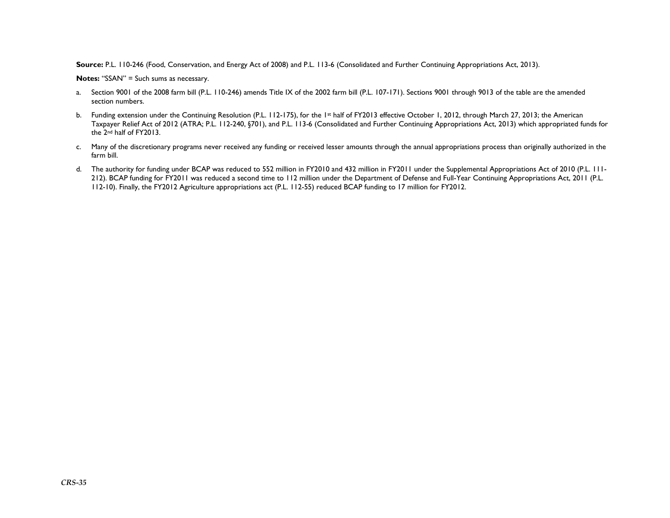**Source:** P.L. 110-246 (Food, Conservation, and Energy Act of 2008) and P.L. 113-6 (Consolidated and Further Continuing Appropriations Act, 2013).

**Notes:** "SSAN" = Such sums as necessary.

- a. Section 9001 of the 2008 farm bill (P.L. 110-246) amends Title IX of the 2002 farm bill (P.L. 107-171). Sections 9001 through 9013 of the table are the amended section numbers.
- b. Funding extension under the Continuing Resolution (P.L. 112-175), for the 1st half of FY2013 effective October 1, 2012, through March 27, 2013; the American Taxpayer Relief Act of 2012 (ATRA; P.L. 112-240, §701), and P.L. 113-6 (Consolidated and Further Continuing Appropriations Act, 2013) which appropriated funds for the 2<sup>nd</sup> half of FY2013.
- c. Many of the discretionary programs never received any funding or received lesser amounts through the annual appropriations process than originally authorized in the farm bill.
- d. The authority for funding under BCAP was reduced to 552 million in FY2010 and 432 million in FY2011 under the Supplemental Appropriations Act of 2010 (P.L. 111- 212). BCAP funding for FY2011 was reduced a second time to 112 million under the Department of Defense and Full-Year Continuing Appropriations Act, 2011 (P.L. 112-10). Finally, the FY2012 Agriculture appropriations act (P.L. 112-55) reduced BCAP funding to 17 million for FY2012.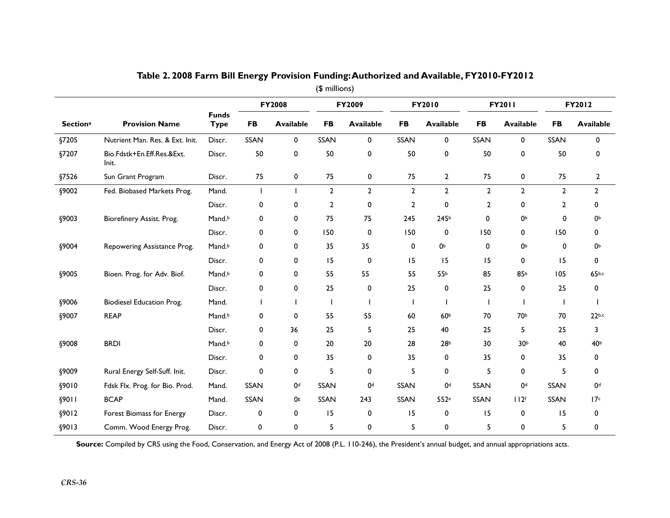|                 |                                     |                             | <b>FY2008</b> |                  | FY2009         |                  |                | FY2010           |                | <b>FY2011</b>    | FY2012         |                   |
|-----------------|-------------------------------------|-----------------------------|---------------|------------------|----------------|------------------|----------------|------------------|----------------|------------------|----------------|-------------------|
| <b>Sectiona</b> | <b>Provision Name</b>               | <b>Funds</b><br><b>Type</b> | <b>FB</b>     | <b>Available</b> | <b>FB</b>      | <b>Available</b> | <b>FB</b>      | <b>Available</b> | <b>FB</b>      | <b>Available</b> | <b>FB</b>      | <b>Available</b>  |
| §7205           | Nutrient Man. Res. & Ext. Init.     | Discr.                      | SSAN          | $\mathbf{0}$     | SSAN           | 0                | <b>SSAN</b>    | 0                | <b>SSAN</b>    | 0                | <b>SSAN</b>    | 0                 |
| §7207           | Bio.Fdstk+En.Eff.Res.&Ext.<br>Init. | Discr.                      | 50            | 0                | 50             | 0                | 50             | 0                | 50             | 0                | 50             | 0                 |
| §7526           | Sun Grant Program                   | Discr.                      | 75            | 0                | 75             | 0                | 75             | $\overline{2}$   | 75             | 0                | 75             | $\mathbf{2}$      |
| §9002           | Fed. Biobased Markets Prog.         | Mand.                       |               |                  | $\overline{2}$ | $\overline{2}$   | $\mathbf{2}$   | $\mathbf{2}$     | $\overline{2}$ | $\overline{2}$   | $\overline{2}$ | $\mathbf{2}$      |
|                 |                                     | Discr.                      | 0             | 0                | 2              | 0                | $\overline{2}$ | 0                | $\overline{2}$ | 0                | 2              | 0                 |
| §9003           | Biorefinery Assist. Prog.           | Mand.b                      | 0             | 0                | 75             | 75               | 245            | 245 <sup>b</sup> | $\Omega$       | 0 <sub>p</sub>   | 0              | 0Ь                |
|                 |                                     | Discr.                      | 0             | 0                | 150            | 0                | 150            | 0                | 150            | 0                | 150            | 0                 |
| §9004           | Repowering Assistance Prog.         | Mand.b                      | 0             | 0                | 35             | 35               | 0              | <b>0</b>         | 0              | 0 <sub>p</sub>   | 0              | 0Ь                |
|                 |                                     | Discr.                      | 0             | 0                | 15             | 0                | 15             | 15               | 15             | 0                | 15             | 0                 |
| §9005           | Bioen. Prog. for Adv. Biof.         | Mand.b                      | 0             | 0                | 55             | 55               | 55             | 55b              | 85             | 85b              | 105            | 65 <sub>b,c</sub> |
|                 |                                     | Discr.                      | 0             | 0                | 25             | 0                | 25             | 0                | 25             | 0                | 25             | 0                 |
| §9006           | Biodiesel Education Prog.           | Mand.                       |               |                  |                |                  |                |                  |                |                  |                |                   |
| §9007           | <b>REAP</b>                         | Mand.b                      | 0             | 0                | 55             | 55               | 60             | 60 <sup>b</sup>  | 70             | 70b              | 70             | 22 <sub>b,c</sub> |
|                 |                                     | Discr.                      | 0             | 36               | 25             | 5                | 25             | 40               | 25             | 5                | 25             | 3                 |
| §9008           | <b>BRDI</b>                         | Mand. <sup>b</sup>          | 0             | 0                | 20             | 20               | 28             | 28 <sub>b</sub>  | 30             | 30 <sup>b</sup>  | 40             | 40 <sup>b</sup>   |
|                 |                                     | Discr.                      | 0             | 0                | 35             | 0                | 35             | 0                | 35             | 0                | 35             | 0                 |
| <b>§9009</b>    | Rural Energy Self-Suff. Init.       | Discr.                      | 0             | 0                | 5              | 0                | 5              | 0                | 5              | 0                | 5              | 0                 |
| §9010           | Fdsk Flx. Prog. for Bio. Prod.      | Mand.                       | SSAN          | 0 <sup>d</sup>   | SSAN           | 0 <sup>d</sup>   | SSAN           | 0 <sup>d</sup>   | <b>SSAN</b>    | 0 <sup>d</sup>   | SSAN           | 0 <sup>d</sup>    |
| \$9011          | <b>BCAP</b>                         | Mand.                       | SSAN          | 0g               | SSAN           | 243              | SSAN           | 552 <sup>e</sup> | SSAN           | 112 <sup>f</sup> | <b>SSAN</b>    | 17c               |
| §9012           | Forest Biomass for Energy           | Discr.                      | 0             | 0                | 15             | 0                | 15             | 0                | 15             | 0                | 15             | 0                 |
| \$9013          | Comm. Wood Energy Prog.             | Discr.                      | 0             | 0                | 5              | 0                | 5              | 0                | 5              | 0                | 5              | 0                 |

#### **Table 2. 2008 Farm Bill Energy Provision Funding: Authorized and Available, FY2010-FY2012**  (\$ millions)

Source: Compiled by CRS using the Food, Conservation, and Energy Act of 2008 (P.L. 110-246), the President's annual budget, and annual appropriations acts.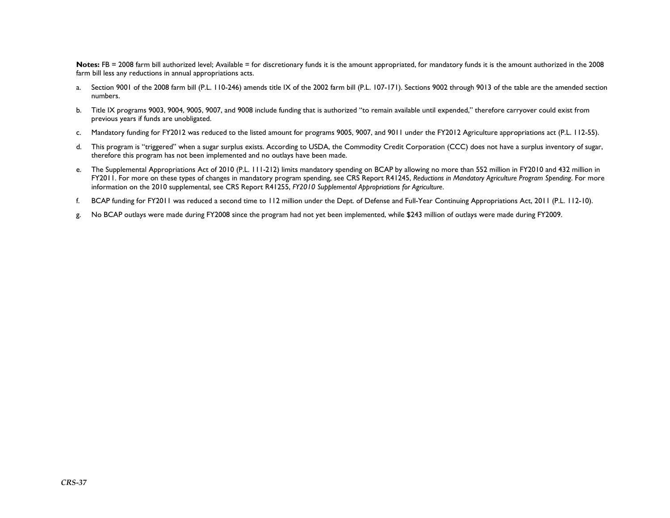Notes: FB = 2008 farm bill authorized level; Available = for discretionary funds it is the amount appropriated, for mandatory funds it is the amount authorized in the 2008 farm bill less any reductions in annual appropriations acts.

- a. Section 9001 of the 2008 farm bill (P.L. 110-246) amends title IX of the 2002 farm bill (P.L. 107-171). Sections 9002 through 9013 of the table are the amended section numbers.
- b. Title IX programs 9003, 9004, 9005, 9007, and 9008 include funding that is authorized "to remain available until expended," therefore carryover could exist from previous years if funds are unobligated.
- c.Mandatory funding for FY2012 was reduced to the listed amount for programs 9005, 9007, and 9011 under the FY2012 Agriculture appropriations act (P.L. 112-55).
- d. This program is "triggered" when a sugar surplus exists. According to USDA, the Commodity Credit Corporation (CCC) does not have a surplus inventory of sugar, therefore this program has not been implemented and no outlays have been made.
- e. The Supplemental Appropriations Act of 2010 (P.L. 111-212) limits mandatory spending on BCAP by allowing no more than 552 million in FY2010 and 432 million in FY2011. For more on these types of changes in mandatory program spending, see CRS Report R41245, *Reductions in Mandatory Agriculture Program Spending*. For more information on the 2010 supplemental, see CRS Report R41255, *FY2010 Supplemental Appropriations for Agriculture*.
- f.BCAP funding for FY2011 was reduced a second time to 112 million under the Dept. of Defense and Full-Year Continuing Appropriations Act, 2011 (P.L. 112-10).
- g. No BCAP outlays were made during FY2008 since the program had not yet been implemented, while \$243 million of outlays were made during FY2009.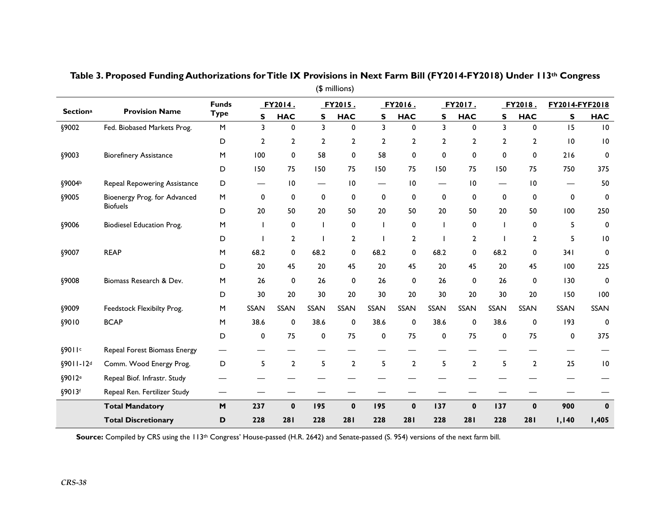|                       | (\$ millions)                    |                                                                                                            |                          |                |                |                |                |                |                |                 |                          |                 |        |                 |
|-----------------------|----------------------------------|------------------------------------------------------------------------------------------------------------|--------------------------|----------------|----------------|----------------|----------------|----------------|----------------|-----------------|--------------------------|-----------------|--------|-----------------|
|                       |                                  | <b>Funds</b>                                                                                               |                          | FY2014.        |                | FY2015.        |                | FY2016.        |                | FY2017.         |                          | FY2018.         |        | FY2014-FYF2018  |
| <b>Sectiona</b>       | <b>Provision Name</b>            | <b>Type</b>                                                                                                | S                        | <b>HAC</b>     | S              | <b>HAC</b>     | S              | <b>HAC</b>     | S              | <b>HAC</b>      | S                        | <b>HAC</b>      | S      | <b>HAC</b>      |
| §9002                 | Fed. Biobased Markets Prog.      | $\mathsf{M}% _{T}=\mathsf{M}_{T}\!\left( a,b\right) ,\ \mathsf{M}_{T}=\mathsf{M}_{T}\!\left( a,b\right) ,$ | 3                        | 0              | 3              | 0              | 3              | 0              | 3              | $\mathbf 0$     | 3                        | 0               | 15     | $\overline{10}$ |
|                       |                                  | D                                                                                                          | $\overline{2}$           | 2              | $\overline{2}$ | $\mathbf{2}$   | $\overline{2}$ | 2              | $\overline{2}$ | 2               | $\overline{2}$           | $\mathbf{2}$    | 10     | $\overline{10}$ |
| §9003                 | <b>Biorefinery Assistance</b>    | $\mathsf{M}% _{0}$                                                                                         | 100                      | 0              | 58             | 0              | 58             | 0              | 0              | 0               | 0                        | 0               | 216    | 0               |
|                       |                                  | D                                                                                                          | 150                      | 75             | 150            | 75             | 150            | 75             | 150            | 75              | 150                      | 75              | 750    | 375             |
| §9004b                | Repeal Repowering Assistance     | D                                                                                                          | —                        | 10             | —              | 10             |                | 10             | —              | $\overline{10}$ | $\overline{\phantom{m}}$ | $\overline{10}$ |        | 50              |
| §9005                 | Bioenergy Prog. for Advanced     | M                                                                                                          | $\mathbf 0$              | $\mathbf 0$    | $\mathbf 0$    | $\mathbf 0$    | $\mathbf 0$    | 0              | $\mathbf 0$    | $\mathbf 0$     | $\mathbf 0$              | $\mathbf 0$     | 0      | $\mathbf 0$     |
|                       | <b>Biofuels</b>                  | D                                                                                                          | 20                       | 50             | 20             | 50             | 20             | 50             | 20             | 50              | 20                       | 50              | 100    | 250             |
| §9006                 | <b>Biodiesel Education Prog.</b> | M                                                                                                          | $\overline{\phantom{a}}$ | 0              |                | 0              |                | 0              | $\mathbf{I}$   | $\mathbf 0$     | T                        | 0               | 5      | $\mathbf 0$     |
|                       |                                  | D                                                                                                          |                          | $\overline{2}$ |                | $\mathbf{2}$   |                | $\overline{2}$ |                | $\mathbf{2}$    |                          | $\mathbf{2}$    | 5      | $\overline{10}$ |
| §9007                 | <b>REAP</b>                      | M                                                                                                          | 68.2                     | 0              | 68.2           | 0              | 68.2           | 0              | 68.2           | 0               | 68.2                     | 0               | 341    | $\mathbf 0$     |
|                       |                                  | D                                                                                                          | 20                       | 45             | 20             | 45             | 20             | 45             | 20             | 45              | 20                       | 45              | 100    | 225             |
| §9008                 | Biomass Research & Dev.          | ${\sf M}$                                                                                                  | 26                       | 0              | 26             | $\mathbf 0$    | 26             | 0              | 26             | $\mathbf 0$     | 26                       | 0               | 130    | $\mathbf 0$     |
|                       |                                  | D                                                                                                          | 30                       | 20             | 30             | 20             | 30             | 20             | 30             | 20              | 30                       | 20              | 150    | 100             |
| §9009                 | Feedstock Flexibilty Prog.       | M                                                                                                          | SSAN                     | <b>SSAN</b>    | <b>SSAN</b>    | <b>SSAN</b>    | <b>SSAN</b>    | SSAN           | SSAN           | <b>SSAN</b>     | <b>SSAN</b>              | <b>SSAN</b>     | SSAN   | SSAN            |
| §9010                 | <b>BCAP</b>                      | M                                                                                                          | 38.6                     | 0              | 38.6           | 0              | 38.6           | 0              | 38.6           | 0               | 38.6                     | 0               | 193    | 0               |
|                       |                                  | D                                                                                                          | $\mathbf 0$              | 75             | $\mathbf 0$    | 75             | $\mathbf 0$    | 75             | 0              | 75              | 0                        | 75              | 0      | 375             |
| §9011c                | Repeal Forest Biomass Energy     |                                                                                                            |                          |                |                |                |                |                |                |                 |                          |                 |        |                 |
| §9011-12 <sup>d</sup> | Comm. Wood Energy Prog.          | D                                                                                                          | 5                        | $\overline{2}$ | 5              | $\overline{2}$ | 5              | $\overline{2}$ | 5              | $\mathbf{2}$    | 5                        | $\overline{2}$  | 25     | $\overline{10}$ |
| §9012 <sup>e</sup>    | Repeal Biof. Infrastr. Study     |                                                                                                            |                          |                |                |                |                |                |                |                 |                          |                 |        |                 |
| §9013f                | Repeal Ren. Fertilizer Study     | —                                                                                                          |                          |                |                |                |                |                |                |                 |                          |                 |        |                 |
|                       | <b>Total Mandatory</b>           | M                                                                                                          | 237                      | $\mathbf 0$    | 195            | $\mathbf 0$    | 195            | $\mathbf 0$    | 137            | $\mathbf 0$     | 137                      | $\mathbf 0$     | 900    | $\mathbf 0$     |
|                       | <b>Total Discretionary</b>       | D                                                                                                          | 228                      | 281            | 228            | 281            | 228            | 281            | 228            | 281             | 228                      | 281             | I, I40 | 1,405           |

**Table 3. Proposed Funding Authorizations for Title IX Provisions in Next Farm Bill (FY2014-FY2018) Under 113th Congress** 

Source: Compiled by CRS using the 113<sup>th</sup> Congress' House-passed (H.R. 2642) and Senate-passed (S. 954) versions of the next farm bill.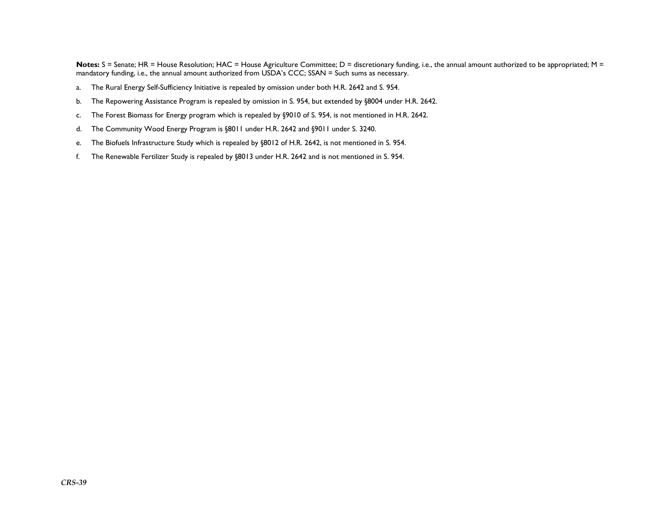Notes: S = Senate; HR = House Resolution; HAC = House Agriculture Committee; D = discretionary funding, i.e., the annual amount authorized to be appropriated; M = mandatory funding, i.e., the annual amount authorized from USDA's CCC; SSAN = Such sums as necessary.

- a.The Rural Energy Self-Sufficiency Initiative is repealed by omission under both H.R. 2642 and S. 954.
- b.The Repowering Assistance Program is repealed by omission in S. 954, but extended by §8004 under H.R. 2642.
- c.The Forest Biomass for Energy program which is repealed by §9010 of S. 954, is not mentioned in H.R. 2642.
- d.The Community Wood Energy Program is §8011 under H.R. 2642 and §9011 under S. 3240.
- e.The Biofuels Infrastructure Study which is repealed by §8012 of H.R. 2642, is not mentioned in S. 954.
- f.The Renewable Fertilizer Study is repealed by §8013 under H.R. 2642 and is not mentioned in S. 954.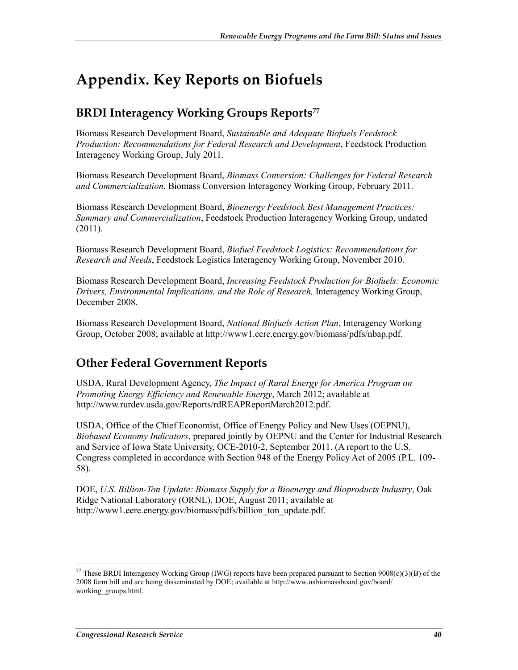# **Appendix. Key Reports on Biofuels**

# **BRDI Interagency Working Groups Reports**<sup>77</sup>

Biomass Research Development Board, *Sustainable and Adequate Biofuels Feedstock Production: Recommendations for Federal Research and Development*, Feedstock Production Interagency Working Group, July 2011.

Biomass Research Development Board, *Biomass Conversion: Challenges for Federal Research and Commercialization*, Biomass Conversion Interagency Working Group, February 2011.

Biomass Research Development Board, *Bioenergy Feedstock Best Management Practices: Summary and Commercialization*, Feedstock Production Interagency Working Group, undated (2011).

Biomass Research Development Board, *Biofuel Feedstock Logistics: Recommendations for Research and Needs*, Feedstock Logistics Interagency Working Group, November 2010.

Biomass Research Development Board, *Increasing Feedstock Production for Biofuels: Economic Drivers, Environmental Implications, and the Role of Research,* Interagency Working Group, December 2008.

Biomass Research Development Board, *National Biofuels Action Plan*, Interagency Working Group, October 2008; available at http://www1.eere.energy.gov/biomass/pdfs/nbap.pdf.

# **Other Federal Government Reports**

USDA, Rural Development Agency, *The Impact of Rural Energy for America Program on Promoting Energy Efficiency and Renewable Energy*, March 2012; available at http://www.rurdev.usda.gov/Reports/rdREAPReportMarch2012.pdf.

USDA, Office of the Chief Economist, Office of Energy Policy and New Uses (OEPNU), *Biobased Economy Indicators*, prepared jointly by OEPNU and the Center for Industrial Research and Service of Iowa State University, OCE-2010-2, September 2011. (A report to the U.S. Congress completed in accordance with Section 948 of the Energy Policy Act of 2005 (P.L. 109- 58).

DOE, *U.S. Billion-Ton Update: Biomass Supply for a Bioenergy and Bioproducts Industry*, Oak Ridge National Laboratory (ORNL), DOE, August 2011; available at http://www1.eere.energy.gov/biomass/pdfs/billion ton update.pdf.

<sup>&</sup>lt;sup>77</sup> These BRDI Interagency Working Group (IWG) reports have been prepared pursuant to Section  $9008(c)(3)(B)$  of the 2008 farm bill and are being disseminated by DOE; available at http://www.usbiomassboard.gov/board/ working\_groups.html.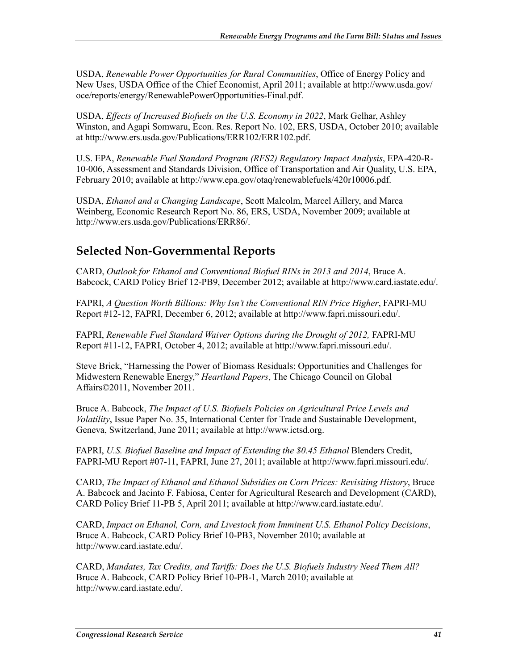USDA, *Renewable Power Opportunities for Rural Communities*, Office of Energy Policy and New Uses, USDA Office of the Chief Economist, April 2011; available at http://www.usda.gov/ oce/reports/energy/RenewablePowerOpportunities-Final.pdf.

USDA, *Effects of Increased Biofuels on the U.S. Economy in 2022*, Mark Gelhar, Ashley Winston, and Agapi Somwaru, Econ. Res. Report No. 102, ERS, USDA, October 2010; available at http://www.ers.usda.gov/Publications/ERR102/ERR102.pdf.

U.S. EPA, *Renewable Fuel Standard Program (RFS2) Regulatory Impact Analysis*, EPA-420-R-10-006, Assessment and Standards Division, Office of Transportation and Air Quality, U.S. EPA, February 2010; available at http://www.epa.gov/otaq/renewablefuels/420r10006.pdf.

USDA, *Ethanol and a Changing Landscape*, Scott Malcolm, Marcel Aillery, and Marca Weinberg, Economic Research Report No. 86, ERS, USDA, November 2009; available at http://www.ers.usda.gov/Publications/ERR86/.

# **Selected Non-Governmental Reports**

CARD, *Outlook for Ethanol and Conventional Biofuel RINs in 2013 and 2014*, Bruce A. Babcock, CARD Policy Brief 12-PB9, December 2012; available at http://www.card.iastate.edu/.

FAPRI, *A Question Worth Billions: Why Isn't the Conventional RIN Price Higher*, FAPRI-MU Report #12-12, FAPRI, December 6, 2012; available at http://www.fapri.missouri.edu/.

FAPRI, *Renewable Fuel Standard Waiver Options during the Drought of 2012,* FAPRI-MU Report #11-12, FAPRI, October 4, 2012; available at http://www.fapri.missouri.edu/.

Steve Brick, "Harnessing the Power of Biomass Residuals: Opportunities and Challenges for Midwestern Renewable Energy," *Heartland Papers*, The Chicago Council on Global Affairs©2011, November 2011.

Bruce A. Babcock, *The Impact of U.S. Biofuels Policies on Agricultural Price Levels and Volatility*, Issue Paper No. 35, International Center for Trade and Sustainable Development, Geneva, Switzerland, June 2011; available at http://www.ictsd.org.

FAPRI, *U.S. Biofuel Baseline and Impact of Extending the \$0.45 Ethanol Blenders Credit,* FAPRI-MU Report #07-11, FAPRI, June 27, 2011; available at http://www.fapri.missouri.edu/.

CARD, *The Impact of Ethanol and Ethanol Subsidies on Corn Prices: Revisiting History*, Bruce A. Babcock and Jacinto F. Fabiosa, Center for Agricultural Research and Development (CARD), CARD Policy Brief 11-PB 5, April 2011; available at http://www.card.iastate.edu/.

CARD, *Impact on Ethanol, Corn, and Livestock from Imminent U.S. Ethanol Policy Decisions*, Bruce A. Babcock, CARD Policy Brief 10-PB3, November 2010; available at http://www.card.iastate.edu/.

CARD, *Mandates, Tax Credits, and Tariffs: Does the U.S. Biofuels Industry Need Them All?* Bruce A. Babcock, CARD Policy Brief 10-PB-1, March 2010; available at http://www.card.iastate.edu/.